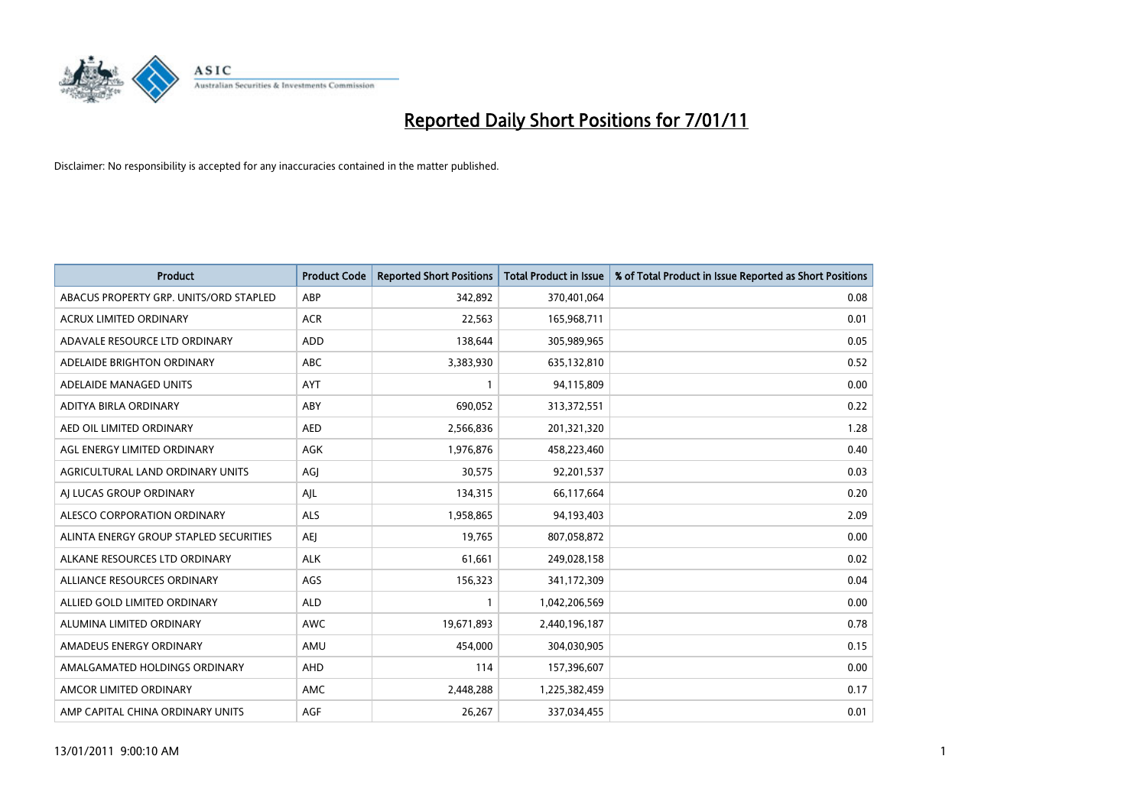

| <b>Product</b>                         | <b>Product Code</b> | <b>Reported Short Positions</b> | <b>Total Product in Issue</b> | % of Total Product in Issue Reported as Short Positions |
|----------------------------------------|---------------------|---------------------------------|-------------------------------|---------------------------------------------------------|
| ABACUS PROPERTY GRP. UNITS/ORD STAPLED | ABP                 | 342,892                         | 370,401,064                   | 0.08                                                    |
| ACRUX LIMITED ORDINARY                 | <b>ACR</b>          | 22,563                          | 165,968,711                   | 0.01                                                    |
| ADAVALE RESOURCE LTD ORDINARY          | ADD                 | 138,644                         | 305,989,965                   | 0.05                                                    |
| ADELAIDE BRIGHTON ORDINARY             | <b>ABC</b>          | 3,383,930                       | 635,132,810                   | 0.52                                                    |
| ADELAIDE MANAGED UNITS                 | <b>AYT</b>          |                                 | 94,115,809                    | 0.00                                                    |
| ADITYA BIRLA ORDINARY                  | ABY                 | 690,052                         | 313,372,551                   | 0.22                                                    |
| AED OIL LIMITED ORDINARY               | <b>AED</b>          | 2,566,836                       | 201,321,320                   | 1.28                                                    |
| AGL ENERGY LIMITED ORDINARY            | <b>AGK</b>          | 1,976,876                       | 458,223,460                   | 0.40                                                    |
| AGRICULTURAL LAND ORDINARY UNITS       | AGI                 | 30,575                          | 92,201,537                    | 0.03                                                    |
| AI LUCAS GROUP ORDINARY                | AJL                 | 134,315                         | 66,117,664                    | 0.20                                                    |
| ALESCO CORPORATION ORDINARY            | <b>ALS</b>          | 1,958,865                       | 94,193,403                    | 2.09                                                    |
| ALINTA ENERGY GROUP STAPLED SECURITIES | <b>AEI</b>          | 19,765                          | 807,058,872                   | 0.00                                                    |
| ALKANE RESOURCES LTD ORDINARY          | <b>ALK</b>          | 61,661                          | 249,028,158                   | 0.02                                                    |
| ALLIANCE RESOURCES ORDINARY            | AGS                 | 156,323                         | 341,172,309                   | 0.04                                                    |
| ALLIED GOLD LIMITED ORDINARY           | <b>ALD</b>          |                                 | 1,042,206,569                 | 0.00                                                    |
| ALUMINA LIMITED ORDINARY               | <b>AWC</b>          | 19,671,893                      | 2,440,196,187                 | 0.78                                                    |
| AMADEUS ENERGY ORDINARY                | AMU                 | 454,000                         | 304,030,905                   | 0.15                                                    |
| AMALGAMATED HOLDINGS ORDINARY          | <b>AHD</b>          | 114                             | 157,396,607                   | 0.00                                                    |
| AMCOR LIMITED ORDINARY                 | AMC                 | 2,448,288                       | 1,225,382,459                 | 0.17                                                    |
| AMP CAPITAL CHINA ORDINARY UNITS       | <b>AGF</b>          | 26,267                          | 337,034,455                   | 0.01                                                    |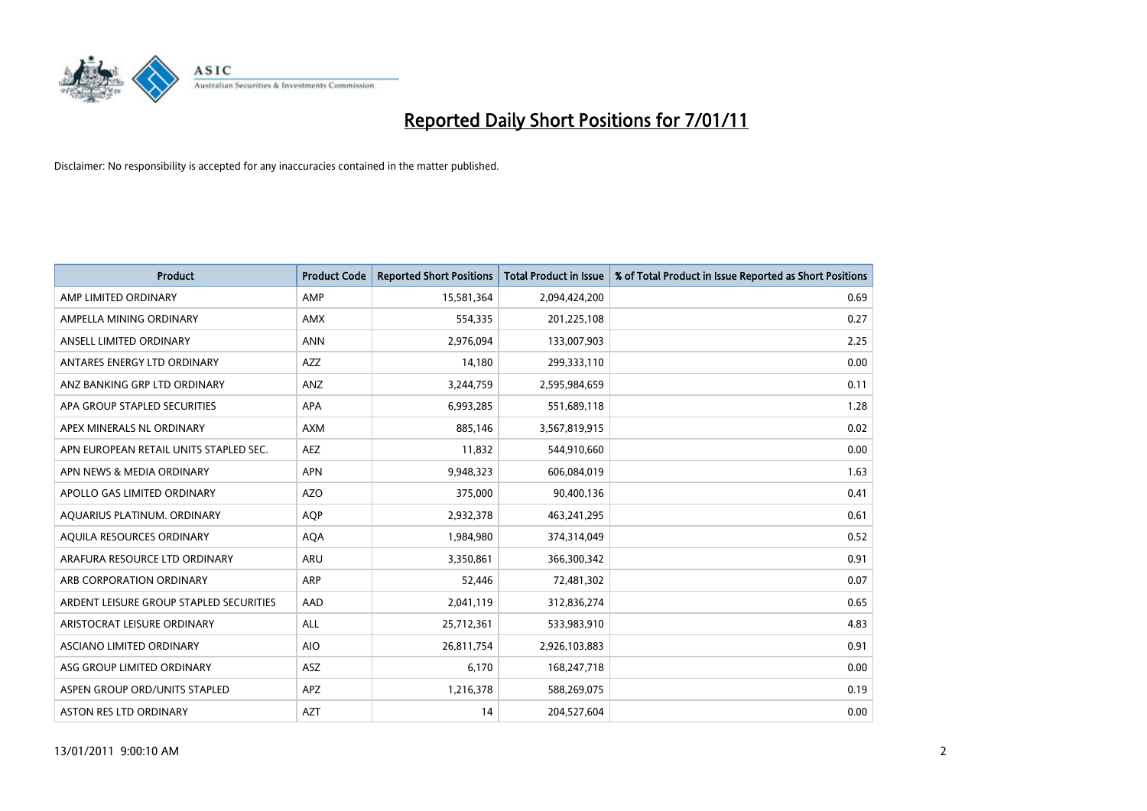

| <b>Product</b>                          | <b>Product Code</b> | <b>Reported Short Positions</b> | <b>Total Product in Issue</b> | % of Total Product in Issue Reported as Short Positions |
|-----------------------------------------|---------------------|---------------------------------|-------------------------------|---------------------------------------------------------|
| AMP LIMITED ORDINARY                    | AMP                 | 15,581,364                      | 2,094,424,200                 | 0.69                                                    |
| AMPELLA MINING ORDINARY                 | <b>AMX</b>          | 554,335                         | 201,225,108                   | 0.27                                                    |
| ANSELL LIMITED ORDINARY                 | <b>ANN</b>          | 2,976,094                       | 133,007,903                   | 2.25                                                    |
| ANTARES ENERGY LTD ORDINARY             | <b>AZZ</b>          | 14,180                          | 299,333,110                   | 0.00                                                    |
| ANZ BANKING GRP LTD ORDINARY            | ANZ                 | 3,244,759                       | 2,595,984,659                 | 0.11                                                    |
| APA GROUP STAPLED SECURITIES            | <b>APA</b>          | 6,993,285                       | 551,689,118                   | 1.28                                                    |
| APEX MINERALS NL ORDINARY               | <b>AXM</b>          | 885,146                         | 3,567,819,915                 | 0.02                                                    |
| APN EUROPEAN RETAIL UNITS STAPLED SEC.  | <b>AEZ</b>          | 11,832                          | 544,910,660                   | 0.00                                                    |
| APN NEWS & MEDIA ORDINARY               | <b>APN</b>          | 9,948,323                       | 606,084,019                   | 1.63                                                    |
| APOLLO GAS LIMITED ORDINARY             | AZO                 | 375,000                         | 90,400,136                    | 0.41                                                    |
| AQUARIUS PLATINUM. ORDINARY             | <b>AOP</b>          | 2,932,378                       | 463,241,295                   | 0.61                                                    |
| AQUILA RESOURCES ORDINARY               | <b>AQA</b>          | 1,984,980                       | 374,314,049                   | 0.52                                                    |
| ARAFURA RESOURCE LTD ORDINARY           | ARU                 | 3,350,861                       | 366,300,342                   | 0.91                                                    |
| ARB CORPORATION ORDINARY                | ARP                 | 52,446                          | 72,481,302                    | 0.07                                                    |
| ARDENT LEISURE GROUP STAPLED SECURITIES | AAD                 | 2,041,119                       | 312,836,274                   | 0.65                                                    |
| ARISTOCRAT LEISURE ORDINARY             | <b>ALL</b>          | 25,712,361                      | 533,983,910                   | 4.83                                                    |
| ASCIANO LIMITED ORDINARY                | <b>AIO</b>          | 26,811,754                      | 2,926,103,883                 | 0.91                                                    |
| ASG GROUP LIMITED ORDINARY              | <b>ASZ</b>          | 6,170                           | 168,247,718                   | 0.00                                                    |
| ASPEN GROUP ORD/UNITS STAPLED           | APZ                 | 1,216,378                       | 588,269,075                   | 0.19                                                    |
| ASTON RES LTD ORDINARY                  | <b>AZT</b>          | 14                              | 204,527,604                   | 0.00                                                    |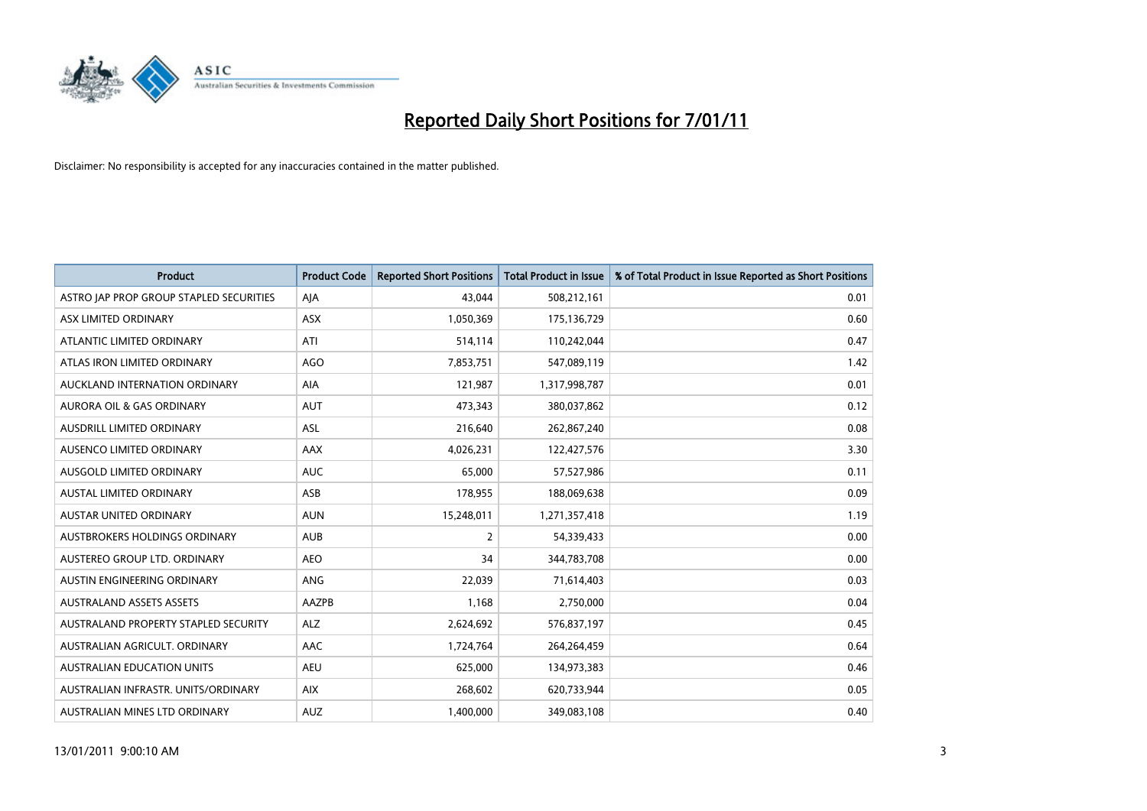

| <b>Product</b>                          | <b>Product Code</b> | <b>Reported Short Positions</b> | <b>Total Product in Issue</b> | % of Total Product in Issue Reported as Short Positions |
|-----------------------------------------|---------------------|---------------------------------|-------------------------------|---------------------------------------------------------|
| ASTRO JAP PROP GROUP STAPLED SECURITIES | AJA                 | 43,044                          | 508,212,161                   | 0.01                                                    |
| ASX LIMITED ORDINARY                    | <b>ASX</b>          | 1,050,369                       | 175,136,729                   | 0.60                                                    |
| ATLANTIC LIMITED ORDINARY               | ATI                 | 514,114                         | 110,242,044                   | 0.47                                                    |
| ATLAS IRON LIMITED ORDINARY             | <b>AGO</b>          | 7,853,751                       | 547,089,119                   | 1.42                                                    |
| AUCKLAND INTERNATION ORDINARY           | <b>AIA</b>          | 121,987                         | 1,317,998,787                 | 0.01                                                    |
| <b>AURORA OIL &amp; GAS ORDINARY</b>    | <b>AUT</b>          | 473,343                         | 380,037,862                   | 0.12                                                    |
| AUSDRILL LIMITED ORDINARY               | <b>ASL</b>          | 216,640                         | 262,867,240                   | 0.08                                                    |
| AUSENCO LIMITED ORDINARY                | AAX                 | 4,026,231                       | 122,427,576                   | 3.30                                                    |
| AUSGOLD LIMITED ORDINARY                | <b>AUC</b>          | 65,000                          | 57,527,986                    | 0.11                                                    |
| <b>AUSTAL LIMITED ORDINARY</b>          | ASB                 | 178,955                         | 188,069,638                   | 0.09                                                    |
| <b>AUSTAR UNITED ORDINARY</b>           | <b>AUN</b>          | 15,248,011                      | 1,271,357,418                 | 1.19                                                    |
| AUSTBROKERS HOLDINGS ORDINARY           | <b>AUB</b>          | 2                               | 54,339,433                    | 0.00                                                    |
| AUSTEREO GROUP LTD. ORDINARY            | <b>AEO</b>          | 34                              | 344,783,708                   | 0.00                                                    |
| AUSTIN ENGINEERING ORDINARY             | ANG                 | 22,039                          | 71,614,403                    | 0.03                                                    |
| <b>AUSTRALAND ASSETS ASSETS</b>         | AAZPB               | 1,168                           | 2,750,000                     | 0.04                                                    |
| AUSTRALAND PROPERTY STAPLED SECURITY    | <b>ALZ</b>          | 2,624,692                       | 576,837,197                   | 0.45                                                    |
| AUSTRALIAN AGRICULT, ORDINARY           | AAC                 | 1,724,764                       | 264,264,459                   | 0.64                                                    |
| AUSTRALIAN EDUCATION UNITS              | <b>AEU</b>          | 625,000                         | 134,973,383                   | 0.46                                                    |
| AUSTRALIAN INFRASTR, UNITS/ORDINARY     | <b>AIX</b>          | 268,602                         | 620,733,944                   | 0.05                                                    |
| AUSTRALIAN MINES LTD ORDINARY           | <b>AUZ</b>          | 1,400,000                       | 349,083,108                   | 0.40                                                    |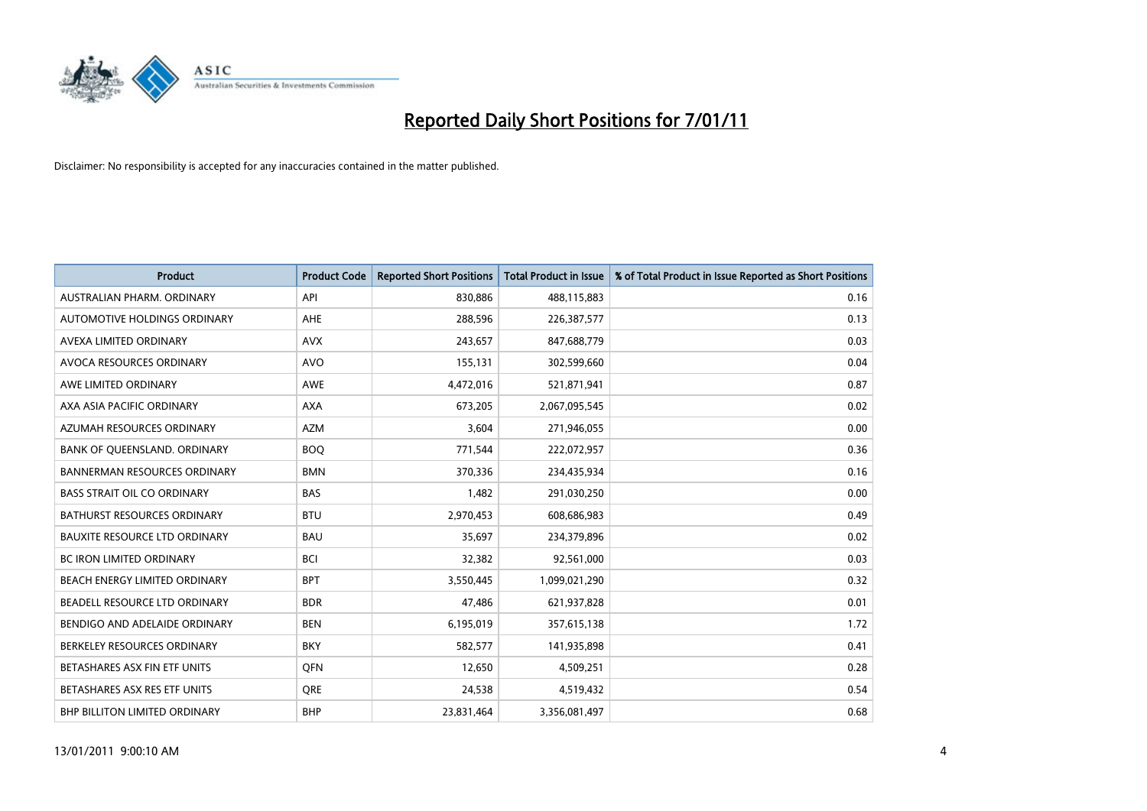

| <b>Product</b>                       | <b>Product Code</b> | <b>Reported Short Positions</b> | <b>Total Product in Issue</b> | % of Total Product in Issue Reported as Short Positions |
|--------------------------------------|---------------------|---------------------------------|-------------------------------|---------------------------------------------------------|
| AUSTRALIAN PHARM, ORDINARY           | API                 | 830,886                         | 488,115,883                   | 0.16                                                    |
| AUTOMOTIVE HOLDINGS ORDINARY         | <b>AHE</b>          | 288,596                         | 226,387,577                   | 0.13                                                    |
| AVEXA LIMITED ORDINARY               | <b>AVX</b>          | 243,657                         | 847,688,779                   | 0.03                                                    |
| AVOCA RESOURCES ORDINARY             | <b>AVO</b>          | 155,131                         | 302,599,660                   | 0.04                                                    |
| AWE LIMITED ORDINARY                 | <b>AWE</b>          | 4,472,016                       | 521,871,941                   | 0.87                                                    |
| AXA ASIA PACIFIC ORDINARY            | <b>AXA</b>          | 673,205                         | 2,067,095,545                 | 0.02                                                    |
| AZUMAH RESOURCES ORDINARY            | <b>AZM</b>          | 3,604                           | 271,946,055                   | 0.00                                                    |
| BANK OF QUEENSLAND. ORDINARY         | <b>BOO</b>          | 771,544                         | 222,072,957                   | 0.36                                                    |
| <b>BANNERMAN RESOURCES ORDINARY</b>  | <b>BMN</b>          | 370,336                         | 234,435,934                   | 0.16                                                    |
| <b>BASS STRAIT OIL CO ORDINARY</b>   | <b>BAS</b>          | 1,482                           | 291,030,250                   | 0.00                                                    |
| BATHURST RESOURCES ORDINARY          | <b>BTU</b>          | 2,970,453                       | 608,686,983                   | 0.49                                                    |
| <b>BAUXITE RESOURCE LTD ORDINARY</b> | <b>BAU</b>          | 35,697                          | 234,379,896                   | 0.02                                                    |
| <b>BC IRON LIMITED ORDINARY</b>      | <b>BCI</b>          | 32,382                          | 92,561,000                    | 0.03                                                    |
| BEACH ENERGY LIMITED ORDINARY        | <b>BPT</b>          | 3,550,445                       | 1,099,021,290                 | 0.32                                                    |
| BEADELL RESOURCE LTD ORDINARY        | <b>BDR</b>          | 47,486                          | 621,937,828                   | 0.01                                                    |
| BENDIGO AND ADELAIDE ORDINARY        | <b>BEN</b>          | 6,195,019                       | 357,615,138                   | 1.72                                                    |
| BERKELEY RESOURCES ORDINARY          | <b>BKY</b>          | 582,577                         | 141,935,898                   | 0.41                                                    |
| BETASHARES ASX FIN ETF UNITS         | <b>OFN</b>          | 12,650                          | 4,509,251                     | 0.28                                                    |
| BETASHARES ASX RES ETF UNITS         | <b>ORE</b>          | 24,538                          | 4,519,432                     | 0.54                                                    |
| BHP BILLITON LIMITED ORDINARY        | <b>BHP</b>          | 23,831,464                      | 3,356,081,497                 | 0.68                                                    |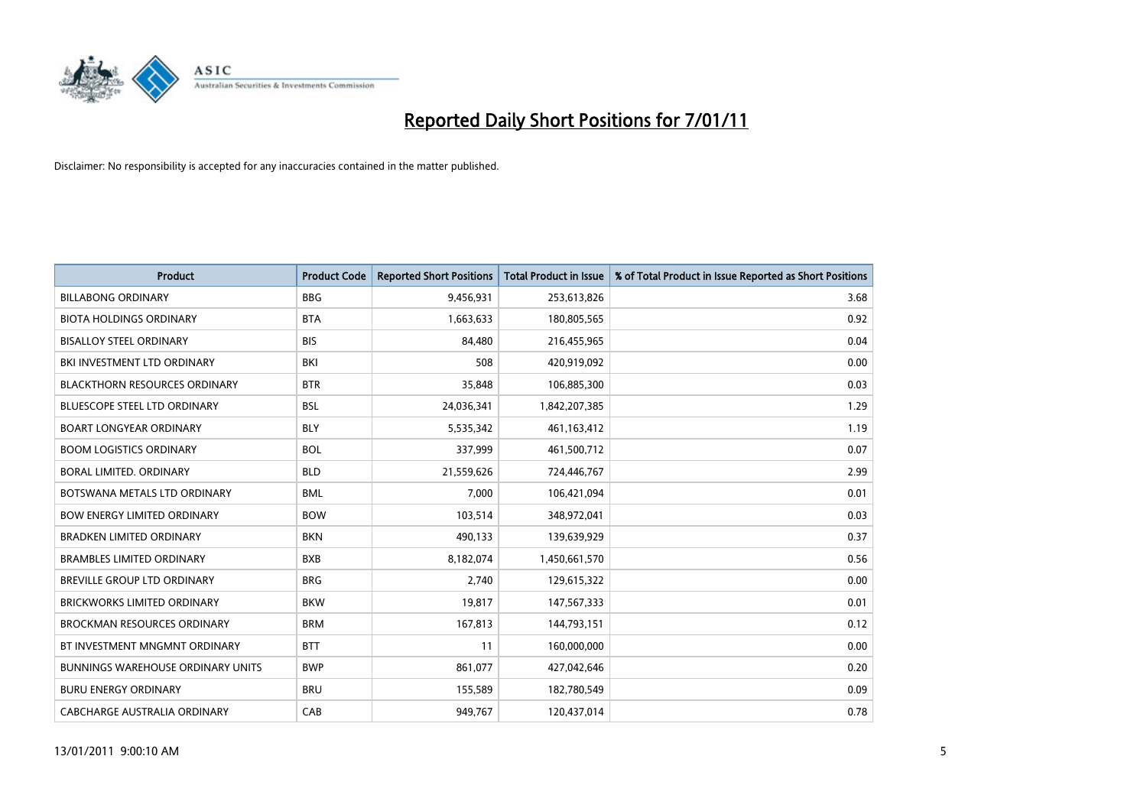

| <b>Product</b>                       | <b>Product Code</b> | <b>Reported Short Positions</b> | <b>Total Product in Issue</b> | % of Total Product in Issue Reported as Short Positions |
|--------------------------------------|---------------------|---------------------------------|-------------------------------|---------------------------------------------------------|
| <b>BILLABONG ORDINARY</b>            | <b>BBG</b>          | 9,456,931                       | 253,613,826                   | 3.68                                                    |
| <b>BIOTA HOLDINGS ORDINARY</b>       | <b>BTA</b>          | 1,663,633                       | 180,805,565                   | 0.92                                                    |
| <b>BISALLOY STEEL ORDINARY</b>       | <b>BIS</b>          | 84,480                          | 216,455,965                   | 0.04                                                    |
| BKI INVESTMENT LTD ORDINARY          | <b>BKI</b>          | 508                             | 420,919,092                   | 0.00                                                    |
| <b>BLACKTHORN RESOURCES ORDINARY</b> | <b>BTR</b>          | 35,848                          | 106,885,300                   | 0.03                                                    |
| <b>BLUESCOPE STEEL LTD ORDINARY</b>  | <b>BSL</b>          | 24,036,341                      | 1,842,207,385                 | 1.29                                                    |
| <b>BOART LONGYEAR ORDINARY</b>       | <b>BLY</b>          | 5,535,342                       | 461,163,412                   | 1.19                                                    |
| <b>BOOM LOGISTICS ORDINARY</b>       | <b>BOL</b>          | 337,999                         | 461,500,712                   | 0.07                                                    |
| BORAL LIMITED. ORDINARY              | <b>BLD</b>          | 21,559,626                      | 724,446,767                   | 2.99                                                    |
| BOTSWANA METALS LTD ORDINARY         | <b>BML</b>          | 7,000                           | 106,421,094                   | 0.01                                                    |
| <b>BOW ENERGY LIMITED ORDINARY</b>   | <b>BOW</b>          | 103,514                         | 348,972,041                   | 0.03                                                    |
| <b>BRADKEN LIMITED ORDINARY</b>      | <b>BKN</b>          | 490,133                         | 139,639,929                   | 0.37                                                    |
| <b>BRAMBLES LIMITED ORDINARY</b>     | <b>BXB</b>          | 8,182,074                       | 1,450,661,570                 | 0.56                                                    |
| BREVILLE GROUP LTD ORDINARY          | <b>BRG</b>          | 2,740                           | 129,615,322                   | 0.00                                                    |
| <b>BRICKWORKS LIMITED ORDINARY</b>   | <b>BKW</b>          | 19,817                          | 147,567,333                   | 0.01                                                    |
| <b>BROCKMAN RESOURCES ORDINARY</b>   | <b>BRM</b>          | 167,813                         | 144,793,151                   | 0.12                                                    |
| BT INVESTMENT MNGMNT ORDINARY        | <b>BTT</b>          | 11                              | 160,000,000                   | 0.00                                                    |
| BUNNINGS WAREHOUSE ORDINARY UNITS    | <b>BWP</b>          | 861,077                         | 427,042,646                   | 0.20                                                    |
| <b>BURU ENERGY ORDINARY</b>          | <b>BRU</b>          | 155,589                         | 182,780,549                   | 0.09                                                    |
| CABCHARGE AUSTRALIA ORDINARY         | CAB                 | 949,767                         | 120,437,014                   | 0.78                                                    |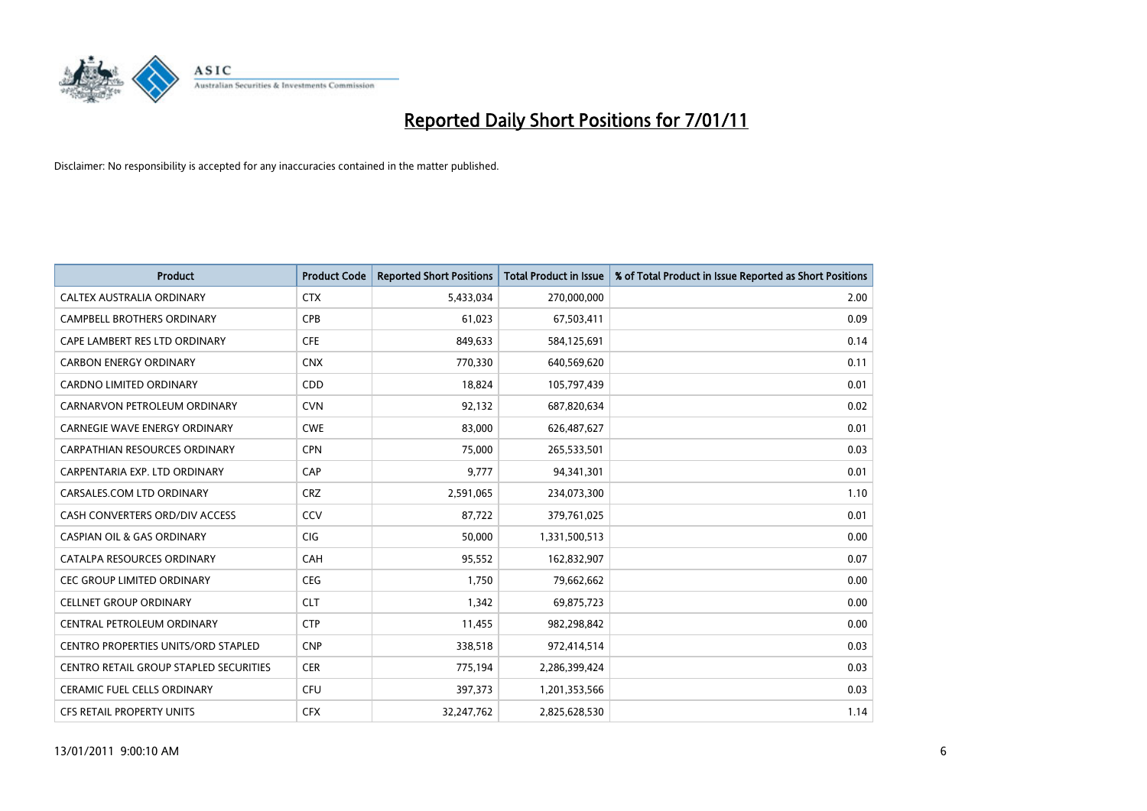

| <b>Product</b>                             | <b>Product Code</b> | <b>Reported Short Positions</b> | <b>Total Product in Issue</b> | % of Total Product in Issue Reported as Short Positions |
|--------------------------------------------|---------------------|---------------------------------|-------------------------------|---------------------------------------------------------|
| CALTEX AUSTRALIA ORDINARY                  | <b>CTX</b>          | 5,433,034                       | 270,000,000                   | 2.00                                                    |
| CAMPBELL BROTHERS ORDINARY                 | <b>CPB</b>          | 61,023                          | 67,503,411                    | 0.09                                                    |
| CAPE LAMBERT RES LTD ORDINARY              | <b>CFE</b>          | 849,633                         | 584,125,691                   | 0.14                                                    |
| <b>CARBON ENERGY ORDINARY</b>              | <b>CNX</b>          | 770,330                         | 640,569,620                   | 0.11                                                    |
| <b>CARDNO LIMITED ORDINARY</b>             | CDD                 | 18,824                          | 105,797,439                   | 0.01                                                    |
| CARNARVON PETROLEUM ORDINARY               | <b>CVN</b>          | 92,132                          | 687,820,634                   | 0.02                                                    |
| <b>CARNEGIE WAVE ENERGY ORDINARY</b>       | <b>CWE</b>          | 83,000                          | 626,487,627                   | 0.01                                                    |
| <b>CARPATHIAN RESOURCES ORDINARY</b>       | <b>CPN</b>          | 75,000                          | 265,533,501                   | 0.03                                                    |
| CARPENTARIA EXP. LTD ORDINARY              | CAP                 | 9,777                           | 94,341,301                    | 0.01                                                    |
| CARSALES.COM LTD ORDINARY                  | <b>CRZ</b>          | 2,591,065                       | 234,073,300                   | 1.10                                                    |
| CASH CONVERTERS ORD/DIV ACCESS             | CCV                 | 87,722                          | 379,761,025                   | 0.01                                                    |
| <b>CASPIAN OIL &amp; GAS ORDINARY</b>      | CIG                 | 50,000                          | 1,331,500,513                 | 0.00                                                    |
| CATALPA RESOURCES ORDINARY                 | CAH                 | 95,552                          | 162,832,907                   | 0.07                                                    |
| <b>CEC GROUP LIMITED ORDINARY</b>          | <b>CEG</b>          | 1,750                           | 79,662,662                    | 0.00                                                    |
| CELLNET GROUP ORDINARY                     | <b>CLT</b>          | 1,342                           | 69,875,723                    | 0.00                                                    |
| CENTRAL PETROLEUM ORDINARY                 | <b>CTP</b>          | 11,455                          | 982,298,842                   | 0.00                                                    |
| <b>CENTRO PROPERTIES UNITS/ORD STAPLED</b> | <b>CNP</b>          | 338,518                         | 972,414,514                   | 0.03                                                    |
| CENTRO RETAIL GROUP STAPLED SECURITIES     | <b>CER</b>          | 775,194                         | 2,286,399,424                 | 0.03                                                    |
| <b>CERAMIC FUEL CELLS ORDINARY</b>         | <b>CFU</b>          | 397,373                         | 1,201,353,566                 | 0.03                                                    |
| CFS RETAIL PROPERTY UNITS                  | <b>CFX</b>          | 32,247,762                      | 2,825,628,530                 | 1.14                                                    |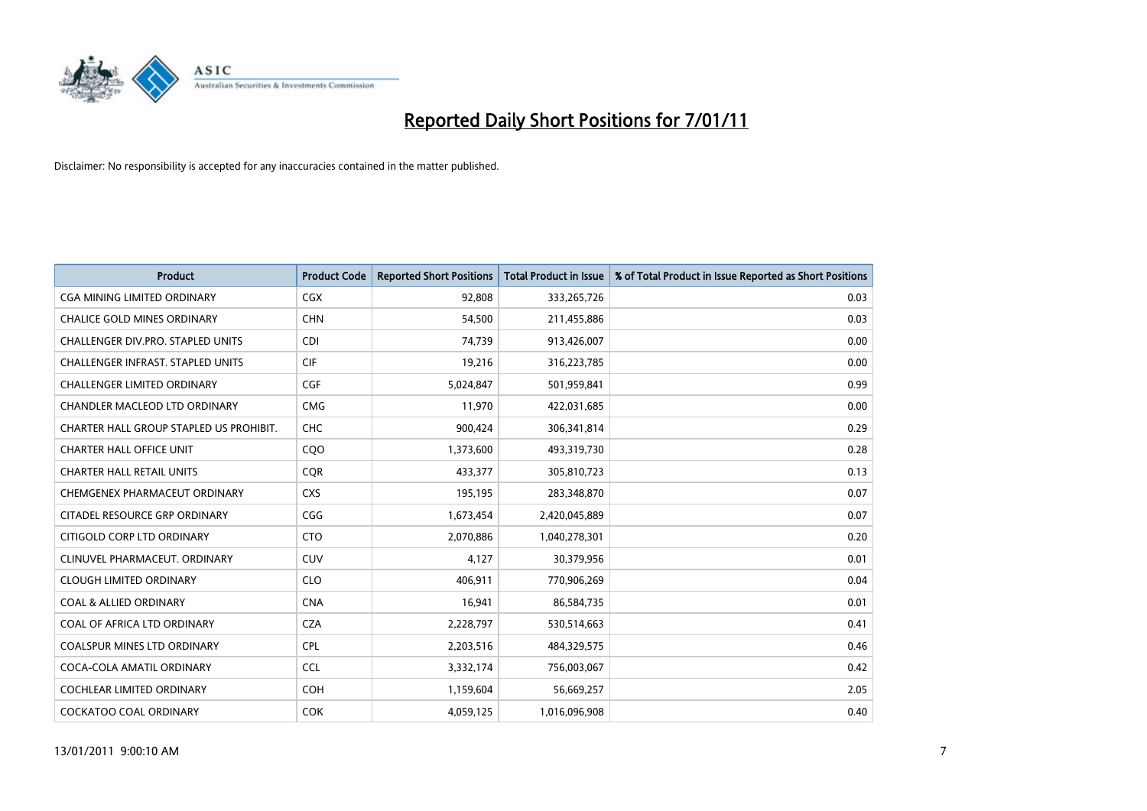

| <b>Product</b>                          | <b>Product Code</b> | <b>Reported Short Positions</b> | Total Product in Issue | % of Total Product in Issue Reported as Short Positions |
|-----------------------------------------|---------------------|---------------------------------|------------------------|---------------------------------------------------------|
| <b>CGA MINING LIMITED ORDINARY</b>      | CGX                 | 92,808                          | 333,265,726            | 0.03                                                    |
| <b>CHALICE GOLD MINES ORDINARY</b>      | <b>CHN</b>          | 54,500                          | 211,455,886            | 0.03                                                    |
| CHALLENGER DIV.PRO. STAPLED UNITS       | <b>CDI</b>          | 74,739                          | 913,426,007            | 0.00                                                    |
| CHALLENGER INFRAST. STAPLED UNITS       | <b>CIF</b>          | 19,216                          | 316,223,785            | 0.00                                                    |
| <b>CHALLENGER LIMITED ORDINARY</b>      | CGF                 | 5,024,847                       | 501,959,841            | 0.99                                                    |
| CHANDLER MACLEOD LTD ORDINARY           | <b>CMG</b>          | 11,970                          | 422,031,685            | 0.00                                                    |
| CHARTER HALL GROUP STAPLED US PROHIBIT. | <b>CHC</b>          | 900,424                         | 306,341,814            | 0.29                                                    |
| <b>CHARTER HALL OFFICE UNIT</b>         | C <sub>O</sub> O    | 1,373,600                       | 493,319,730            | 0.28                                                    |
| <b>CHARTER HALL RETAIL UNITS</b>        | <b>CQR</b>          | 433,377                         | 305,810,723            | 0.13                                                    |
| CHEMGENEX PHARMACEUT ORDINARY           | <b>CXS</b>          | 195,195                         | 283,348,870            | 0.07                                                    |
| CITADEL RESOURCE GRP ORDINARY           | CGG                 | 1,673,454                       | 2,420,045,889          | 0.07                                                    |
| CITIGOLD CORP LTD ORDINARY              | <b>CTO</b>          | 2,070,886                       | 1,040,278,301          | 0.20                                                    |
| CLINUVEL PHARMACEUT, ORDINARY           | CUV                 | 4.127                           | 30,379,956             | 0.01                                                    |
| <b>CLOUGH LIMITED ORDINARY</b>          | <b>CLO</b>          | 406.911                         | 770,906,269            | 0.04                                                    |
| <b>COAL &amp; ALLIED ORDINARY</b>       | <b>CNA</b>          | 16,941                          | 86,584,735             | 0.01                                                    |
| COAL OF AFRICA LTD ORDINARY             | <b>CZA</b>          | 2,228,797                       | 530,514,663            | 0.41                                                    |
| <b>COALSPUR MINES LTD ORDINARY</b>      | <b>CPL</b>          | 2,203,516                       | 484,329,575            | 0.46                                                    |
| COCA-COLA AMATIL ORDINARY               | <b>CCL</b>          | 3,332,174                       | 756,003,067            | 0.42                                                    |
| <b>COCHLEAR LIMITED ORDINARY</b>        | <b>COH</b>          | 1,159,604                       | 56,669,257             | 2.05                                                    |
| <b>COCKATOO COAL ORDINARY</b>           | <b>COK</b>          | 4,059,125                       | 1,016,096,908          | 0.40                                                    |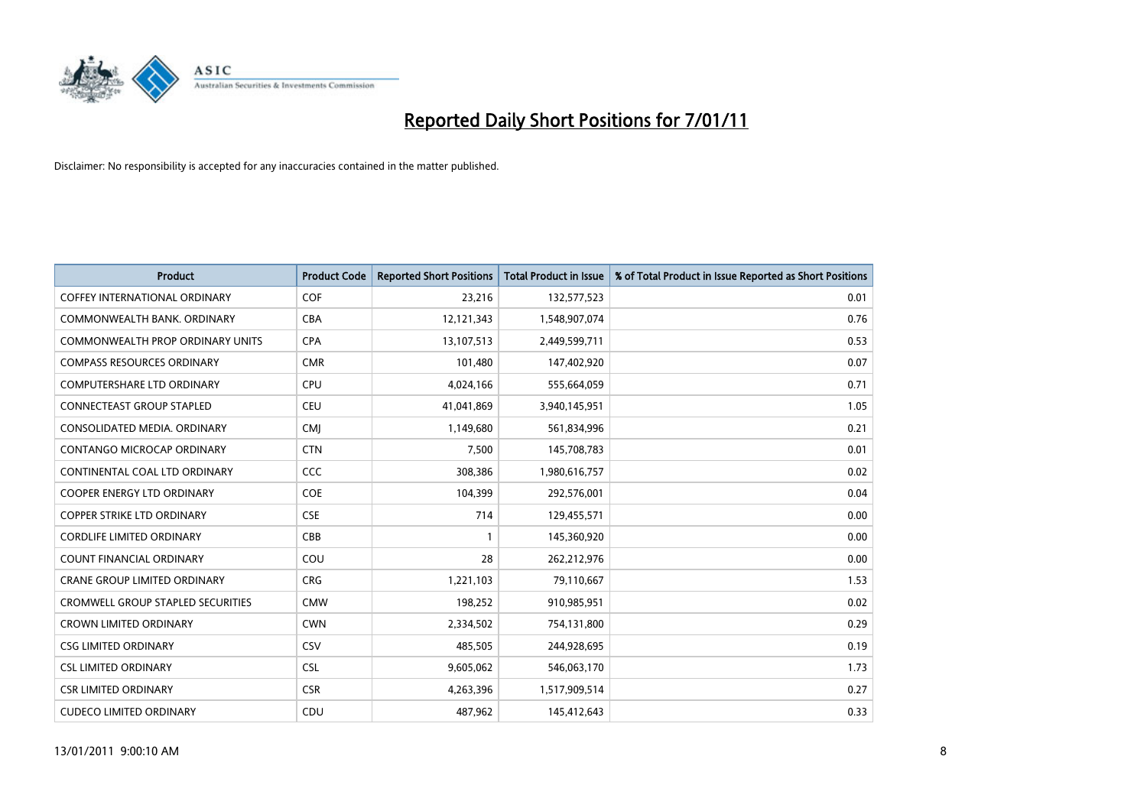

| <b>Product</b>                           | <b>Product Code</b> | <b>Reported Short Positions</b> | Total Product in Issue | % of Total Product in Issue Reported as Short Positions |
|------------------------------------------|---------------------|---------------------------------|------------------------|---------------------------------------------------------|
| <b>COFFEY INTERNATIONAL ORDINARY</b>     | COF                 | 23,216                          | 132,577,523            | 0.01                                                    |
| COMMONWEALTH BANK, ORDINARY              | <b>CBA</b>          | 12,121,343                      | 1,548,907,074          | 0.76                                                    |
| <b>COMMONWEALTH PROP ORDINARY UNITS</b>  | <b>CPA</b>          | 13,107,513                      | 2,449,599,711          | 0.53                                                    |
| <b>COMPASS RESOURCES ORDINARY</b>        | <b>CMR</b>          | 101,480                         | 147,402,920            | 0.07                                                    |
| <b>COMPUTERSHARE LTD ORDINARY</b>        | <b>CPU</b>          | 4,024,166                       | 555,664,059            | 0.71                                                    |
| CONNECTEAST GROUP STAPLED                | <b>CEU</b>          | 41,041,869                      | 3,940,145,951          | 1.05                                                    |
| CONSOLIDATED MEDIA, ORDINARY             | <b>CMI</b>          | 1,149,680                       | 561,834,996            | 0.21                                                    |
| <b>CONTANGO MICROCAP ORDINARY</b>        | <b>CTN</b>          | 7,500                           | 145,708,783            | 0.01                                                    |
| CONTINENTAL COAL LTD ORDINARY            | CCC                 | 308,386                         | 1,980,616,757          | 0.02                                                    |
| <b>COOPER ENERGY LTD ORDINARY</b>        | <b>COE</b>          | 104,399                         | 292,576,001            | 0.04                                                    |
| <b>COPPER STRIKE LTD ORDINARY</b>        | <b>CSE</b>          | 714                             | 129,455,571            | 0.00                                                    |
| <b>CORDLIFE LIMITED ORDINARY</b>         | CBB                 |                                 | 145,360,920            | 0.00                                                    |
| <b>COUNT FINANCIAL ORDINARY</b>          | COU                 | 28                              | 262,212,976            | 0.00                                                    |
| <b>CRANE GROUP LIMITED ORDINARY</b>      | <b>CRG</b>          | 1,221,103                       | 79,110,667             | 1.53                                                    |
| <b>CROMWELL GROUP STAPLED SECURITIES</b> | <b>CMW</b>          | 198,252                         | 910,985,951            | 0.02                                                    |
| <b>CROWN LIMITED ORDINARY</b>            | <b>CWN</b>          | 2,334,502                       | 754,131,800            | 0.29                                                    |
| <b>CSG LIMITED ORDINARY</b>              | CSV                 | 485,505                         | 244,928,695            | 0.19                                                    |
| <b>CSL LIMITED ORDINARY</b>              | <b>CSL</b>          | 9,605,062                       | 546,063,170            | 1.73                                                    |
| <b>CSR LIMITED ORDINARY</b>              | <b>CSR</b>          | 4,263,396                       | 1,517,909,514          | 0.27                                                    |
| <b>CUDECO LIMITED ORDINARY</b>           | CDU                 | 487.962                         | 145,412,643            | 0.33                                                    |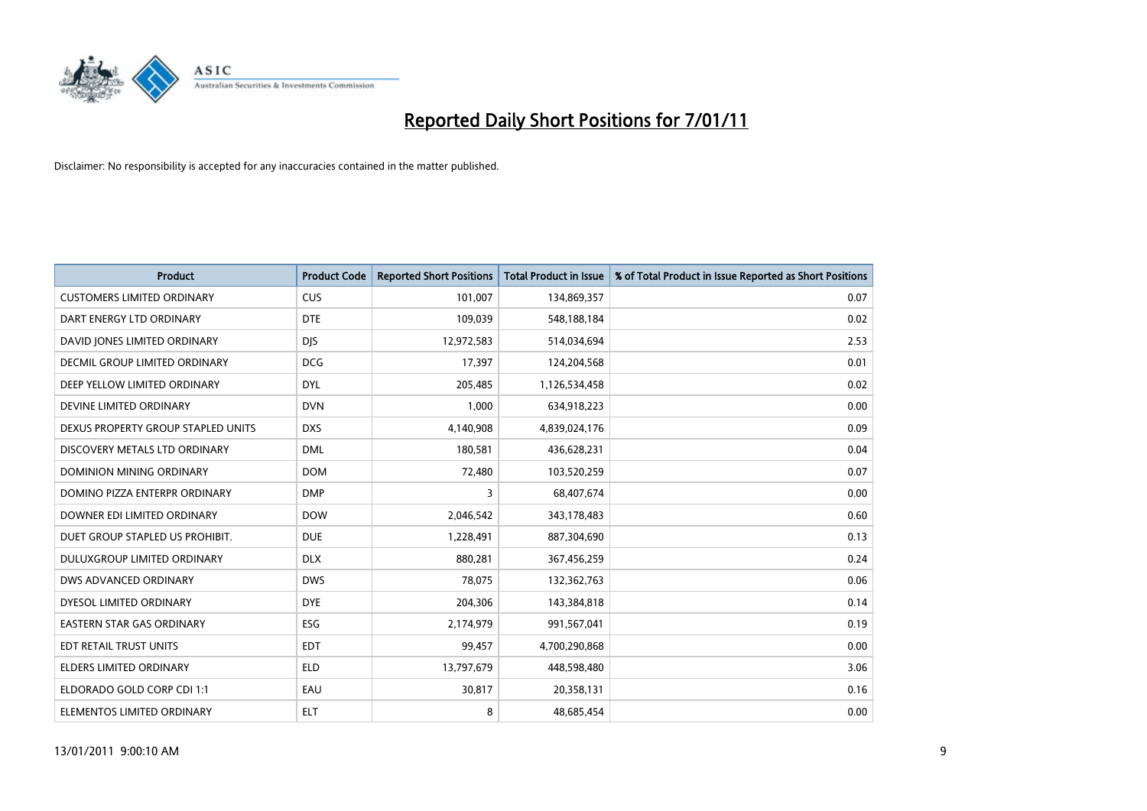

| <b>Product</b>                       | <b>Product Code</b> | <b>Reported Short Positions</b> | <b>Total Product in Issue</b> | % of Total Product in Issue Reported as Short Positions |
|--------------------------------------|---------------------|---------------------------------|-------------------------------|---------------------------------------------------------|
| <b>CUSTOMERS LIMITED ORDINARY</b>    | <b>CUS</b>          | 101,007                         | 134,869,357                   | 0.07                                                    |
| DART ENERGY LTD ORDINARY             | <b>DTE</b>          | 109,039                         | 548,188,184                   | 0.02                                                    |
| DAVID JONES LIMITED ORDINARY         | <b>DJS</b>          | 12,972,583                      | 514,034,694                   | 2.53                                                    |
| <b>DECMIL GROUP LIMITED ORDINARY</b> | <b>DCG</b>          | 17,397                          | 124,204,568                   | 0.01                                                    |
| DEEP YELLOW LIMITED ORDINARY         | DYL                 | 205,485                         | 1,126,534,458                 | 0.02                                                    |
| DEVINE LIMITED ORDINARY              | <b>DVN</b>          | 1,000                           | 634,918,223                   | 0.00                                                    |
| DEXUS PROPERTY GROUP STAPLED UNITS   | <b>DXS</b>          | 4,140,908                       | 4,839,024,176                 | 0.09                                                    |
| DISCOVERY METALS LTD ORDINARY        | <b>DML</b>          | 180,581                         | 436,628,231                   | 0.04                                                    |
| DOMINION MINING ORDINARY             | <b>DOM</b>          | 72,480                          | 103,520,259                   | 0.07                                                    |
| DOMINO PIZZA ENTERPR ORDINARY        | <b>DMP</b>          | 3                               | 68,407,674                    | 0.00                                                    |
| DOWNER EDI LIMITED ORDINARY          | <b>DOW</b>          | 2,046,542                       | 343,178,483                   | 0.60                                                    |
| DUET GROUP STAPLED US PROHIBIT.      | <b>DUE</b>          | 1,228,491                       | 887,304,690                   | 0.13                                                    |
| DULUXGROUP LIMITED ORDINARY          | <b>DLX</b>          | 880,281                         | 367,456,259                   | 0.24                                                    |
| DWS ADVANCED ORDINARY                | <b>DWS</b>          | 78,075                          | 132,362,763                   | 0.06                                                    |
| DYESOL LIMITED ORDINARY              | <b>DYE</b>          | 204,306                         | 143,384,818                   | 0.14                                                    |
| <b>EASTERN STAR GAS ORDINARY</b>     | ESG                 | 2,174,979                       | 991,567,041                   | 0.19                                                    |
| EDT RETAIL TRUST UNITS               | <b>EDT</b>          | 99,457                          | 4,700,290,868                 | 0.00                                                    |
| ELDERS LIMITED ORDINARY              | <b>ELD</b>          | 13,797,679                      | 448,598,480                   | 3.06                                                    |
| ELDORADO GOLD CORP CDI 1:1           | EAU                 | 30,817                          | 20,358,131                    | 0.16                                                    |
| ELEMENTOS LIMITED ORDINARY           | <b>ELT</b>          | 8                               | 48,685,454                    | 0.00                                                    |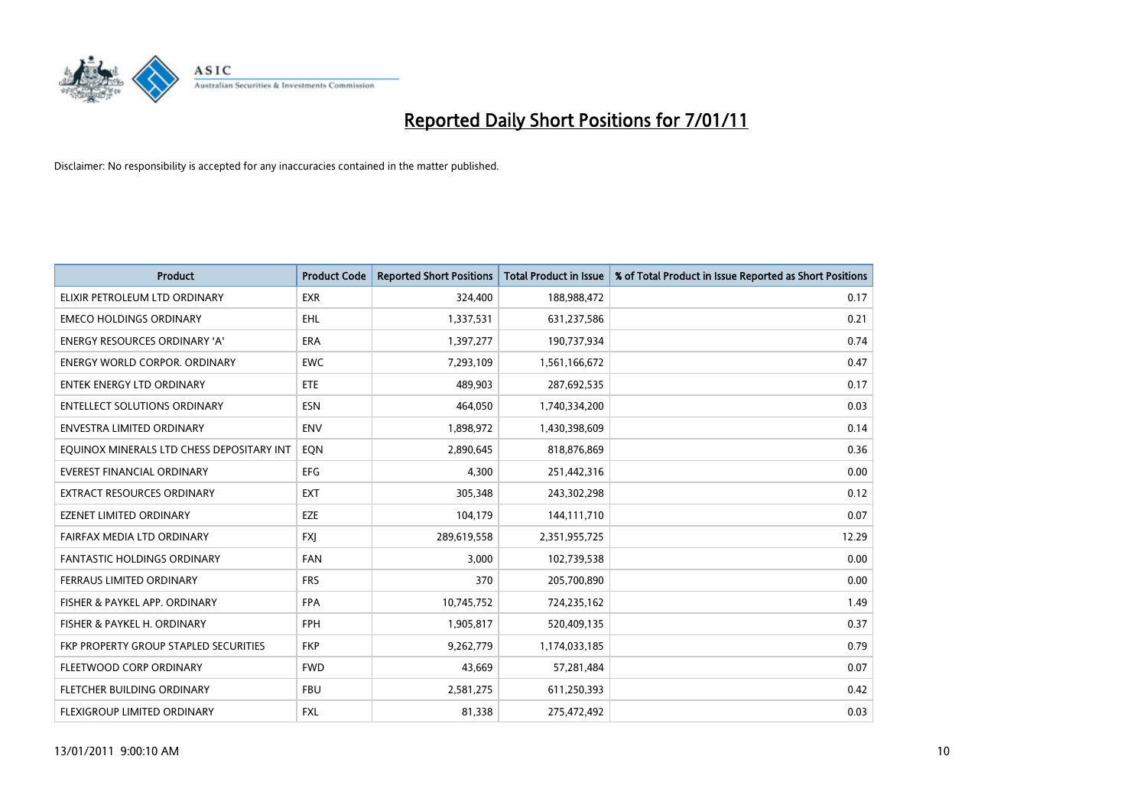

| <b>Product</b>                            | <b>Product Code</b> | <b>Reported Short Positions</b> | <b>Total Product in Issue</b> | % of Total Product in Issue Reported as Short Positions |
|-------------------------------------------|---------------------|---------------------------------|-------------------------------|---------------------------------------------------------|
| ELIXIR PETROLEUM LTD ORDINARY             | <b>EXR</b>          | 324,400                         | 188,988,472                   | 0.17                                                    |
| <b>EMECO HOLDINGS ORDINARY</b>            | <b>EHL</b>          | 1,337,531                       | 631,237,586                   | 0.21                                                    |
| <b>ENERGY RESOURCES ORDINARY 'A'</b>      | <b>ERA</b>          | 1,397,277                       | 190,737,934                   | 0.74                                                    |
| ENERGY WORLD CORPOR. ORDINARY             | <b>EWC</b>          | 7,293,109                       | 1,561,166,672                 | 0.47                                                    |
| <b>ENTEK ENERGY LTD ORDINARY</b>          | <b>ETE</b>          | 489,903                         | 287,692,535                   | 0.17                                                    |
| <b>ENTELLECT SOLUTIONS ORDINARY</b>       | <b>ESN</b>          | 464,050                         | 1,740,334,200                 | 0.03                                                    |
| ENVESTRA LIMITED ORDINARY                 | <b>ENV</b>          | 1,898,972                       | 1,430,398,609                 | 0.14                                                    |
| EQUINOX MINERALS LTD CHESS DEPOSITARY INT | EON                 | 2,890,645                       | 818,876,869                   | 0.36                                                    |
| <b>EVEREST FINANCIAL ORDINARY</b>         | <b>EFG</b>          | 4,300                           | 251,442,316                   | 0.00                                                    |
| <b>EXTRACT RESOURCES ORDINARY</b>         | <b>EXT</b>          | 305,348                         | 243,302,298                   | 0.12                                                    |
| <b>EZENET LIMITED ORDINARY</b>            | EZE                 | 104,179                         | 144,111,710                   | 0.07                                                    |
| FAIRFAX MEDIA LTD ORDINARY                | <b>FXI</b>          | 289,619,558                     | 2,351,955,725                 | 12.29                                                   |
| FANTASTIC HOLDINGS ORDINARY               | <b>FAN</b>          | 3,000                           | 102,739,538                   | 0.00                                                    |
| FERRAUS LIMITED ORDINARY                  | <b>FRS</b>          | 370                             | 205,700,890                   | 0.00                                                    |
| FISHER & PAYKEL APP. ORDINARY             | <b>FPA</b>          | 10,745,752                      | 724,235,162                   | 1.49                                                    |
| FISHER & PAYKEL H. ORDINARY               | <b>FPH</b>          | 1,905,817                       | 520,409,135                   | 0.37                                                    |
| FKP PROPERTY GROUP STAPLED SECURITIES     | <b>FKP</b>          | 9,262,779                       | 1,174,033,185                 | 0.79                                                    |
| FLEETWOOD CORP ORDINARY                   | <b>FWD</b>          | 43,669                          | 57,281,484                    | 0.07                                                    |
| FLETCHER BUILDING ORDINARY                | <b>FBU</b>          | 2,581,275                       | 611,250,393                   | 0.42                                                    |
| FLEXIGROUP LIMITED ORDINARY               | <b>FXL</b>          | 81,338                          | 275,472,492                   | 0.03                                                    |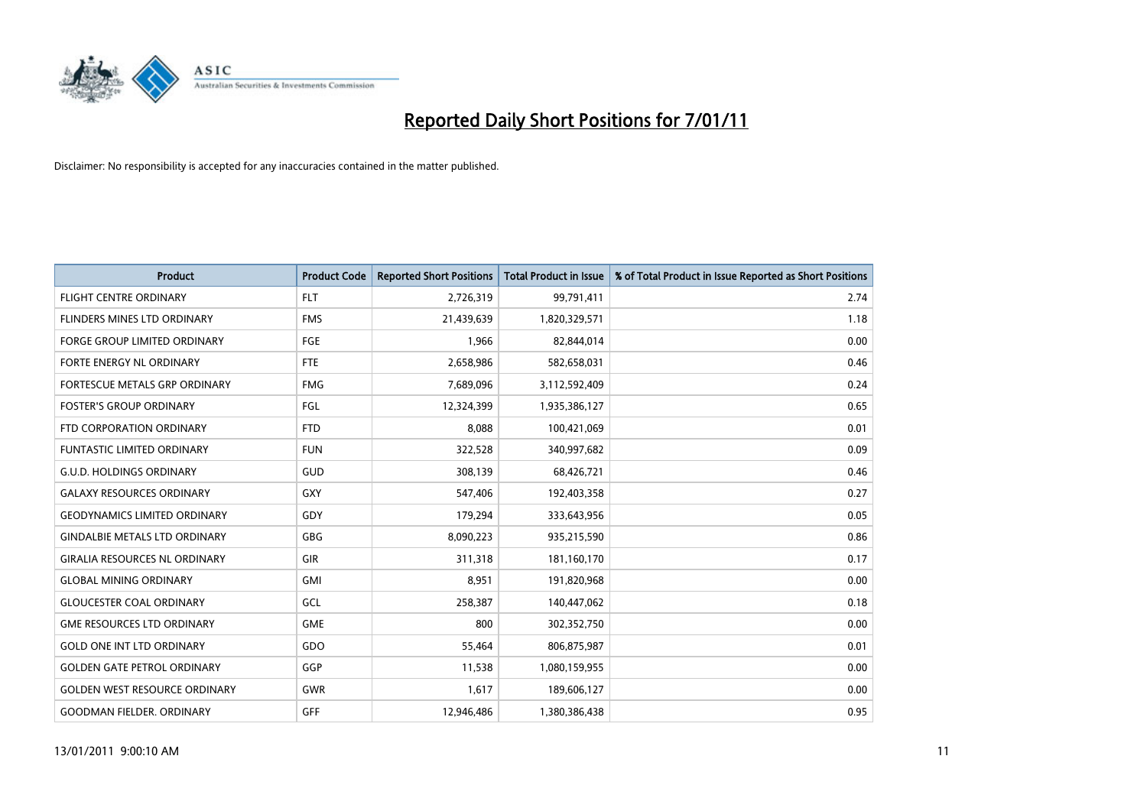

| <b>Product</b>                       | <b>Product Code</b> | <b>Reported Short Positions</b> | <b>Total Product in Issue</b> | % of Total Product in Issue Reported as Short Positions |
|--------------------------------------|---------------------|---------------------------------|-------------------------------|---------------------------------------------------------|
| <b>FLIGHT CENTRE ORDINARY</b>        | <b>FLT</b>          | 2,726,319                       | 99,791,411                    | 2.74                                                    |
| FLINDERS MINES LTD ORDINARY          | <b>FMS</b>          | 21,439,639                      | 1,820,329,571                 | 1.18                                                    |
| <b>FORGE GROUP LIMITED ORDINARY</b>  | <b>FGE</b>          | 1,966                           | 82,844,014                    | 0.00                                                    |
| FORTE ENERGY NL ORDINARY             | <b>FTE</b>          | 2,658,986                       | 582,658,031                   | 0.46                                                    |
| FORTESCUE METALS GRP ORDINARY        | <b>FMG</b>          | 7,689,096                       | 3,112,592,409                 | 0.24                                                    |
| <b>FOSTER'S GROUP ORDINARY</b>       | FGL                 | 12,324,399                      | 1,935,386,127                 | 0.65                                                    |
| FTD CORPORATION ORDINARY             | <b>FTD</b>          | 8,088                           | 100,421,069                   | 0.01                                                    |
| <b>FUNTASTIC LIMITED ORDINARY</b>    | <b>FUN</b>          | 322,528                         | 340,997,682                   | 0.09                                                    |
| <b>G.U.D. HOLDINGS ORDINARY</b>      | <b>GUD</b>          | 308,139                         | 68,426,721                    | 0.46                                                    |
| <b>GALAXY RESOURCES ORDINARY</b>     | <b>GXY</b>          | 547,406                         | 192,403,358                   | 0.27                                                    |
| <b>GEODYNAMICS LIMITED ORDINARY</b>  | GDY                 | 179,294                         | 333,643,956                   | 0.05                                                    |
| <b>GINDALBIE METALS LTD ORDINARY</b> | <b>GBG</b>          | 8,090,223                       | 935,215,590                   | 0.86                                                    |
| <b>GIRALIA RESOURCES NL ORDINARY</b> | GIR                 | 311,318                         | 181,160,170                   | 0.17                                                    |
| <b>GLOBAL MINING ORDINARY</b>        | <b>GMI</b>          | 8,951                           | 191,820,968                   | 0.00                                                    |
| <b>GLOUCESTER COAL ORDINARY</b>      | GCL                 | 258,387                         | 140,447,062                   | 0.18                                                    |
| <b>GME RESOURCES LTD ORDINARY</b>    | <b>GME</b>          | 800                             | 302,352,750                   | 0.00                                                    |
| <b>GOLD ONE INT LTD ORDINARY</b>     | GDO                 | 55,464                          | 806,875,987                   | 0.01                                                    |
| <b>GOLDEN GATE PETROL ORDINARY</b>   | GGP                 | 11,538                          | 1,080,159,955                 | 0.00                                                    |
| <b>GOLDEN WEST RESOURCE ORDINARY</b> | <b>GWR</b>          | 1,617                           | 189,606,127                   | 0.00                                                    |
| <b>GOODMAN FIELDER, ORDINARY</b>     | <b>GFF</b>          | 12,946,486                      | 1,380,386,438                 | 0.95                                                    |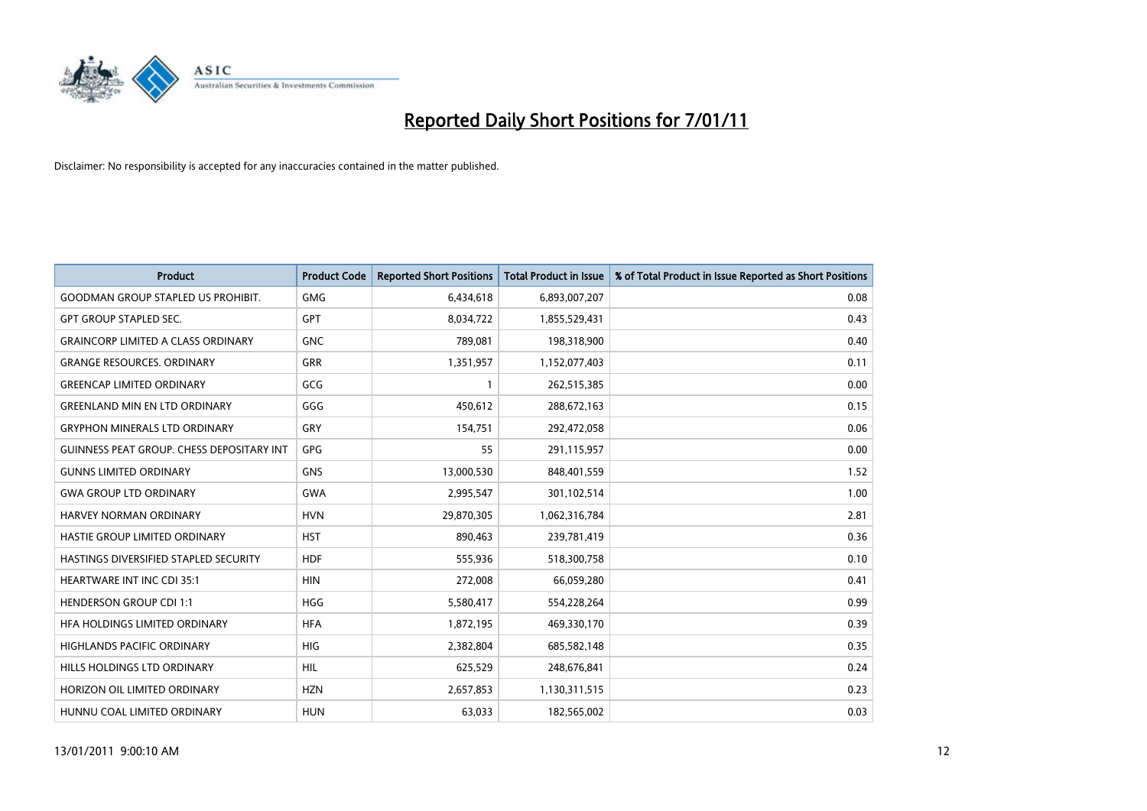

| <b>Product</b>                               | <b>Product Code</b> | <b>Reported Short Positions</b> | Total Product in Issue | % of Total Product in Issue Reported as Short Positions |
|----------------------------------------------|---------------------|---------------------------------|------------------------|---------------------------------------------------------|
| <b>GOODMAN GROUP STAPLED US PROHIBIT.</b>    | <b>GMG</b>          | 6,434,618                       | 6,893,007,207          | 0.08                                                    |
| <b>GPT GROUP STAPLED SEC.</b>                | <b>GPT</b>          | 8,034,722                       | 1,855,529,431          | 0.43                                                    |
| <b>GRAINCORP LIMITED A CLASS ORDINARY</b>    | <b>GNC</b>          | 789,081                         | 198,318,900            | 0.40                                                    |
| <b>GRANGE RESOURCES. ORDINARY</b>            | <b>GRR</b>          | 1,351,957                       | 1,152,077,403          | 0.11                                                    |
| <b>GREENCAP LIMITED ORDINARY</b>             | GCG                 |                                 | 262,515,385            | 0.00                                                    |
| <b>GREENLAND MIN EN LTD ORDINARY</b>         | GGG                 | 450,612                         | 288,672,163            | 0.15                                                    |
| <b>GRYPHON MINERALS LTD ORDINARY</b>         | GRY                 | 154,751                         | 292,472,058            | 0.06                                                    |
| GUINNESS PEAT GROUP. CHESS DEPOSITARY INT    | GPG                 | 55                              | 291,115,957            | 0.00                                                    |
| <b>GUNNS LIMITED ORDINARY</b>                | <b>GNS</b>          | 13,000,530                      | 848,401,559            | 1.52                                                    |
| <b>GWA GROUP LTD ORDINARY</b>                | <b>GWA</b>          | 2,995,547                       | 301,102,514            | 1.00                                                    |
| HARVEY NORMAN ORDINARY                       | <b>HVN</b>          | 29,870,305                      | 1,062,316,784          | 2.81                                                    |
| HASTIE GROUP LIMITED ORDINARY                | <b>HST</b>          | 890,463                         | 239,781,419            | 0.36                                                    |
| <b>HASTINGS DIVERSIFIED STAPLED SECURITY</b> | <b>HDF</b>          | 555,936                         | 518,300,758            | 0.10                                                    |
| <b>HEARTWARE INT INC CDI 35:1</b>            | <b>HIN</b>          | 272,008                         | 66,059,280             | 0.41                                                    |
| <b>HENDERSON GROUP CDI 1:1</b>               | <b>HGG</b>          | 5,580,417                       | 554,228,264            | 0.99                                                    |
| HFA HOLDINGS LIMITED ORDINARY                | <b>HFA</b>          | 1,872,195                       | 469,330,170            | 0.39                                                    |
| <b>HIGHLANDS PACIFIC ORDINARY</b>            | <b>HIG</b>          | 2,382,804                       | 685,582,148            | 0.35                                                    |
| HILLS HOLDINGS LTD ORDINARY                  | <b>HIL</b>          | 625,529                         | 248,676,841            | 0.24                                                    |
| HORIZON OIL LIMITED ORDINARY                 | <b>HZN</b>          | 2,657,853                       | 1,130,311,515          | 0.23                                                    |
| HUNNU COAL LIMITED ORDINARY                  | <b>HUN</b>          | 63,033                          | 182,565,002            | 0.03                                                    |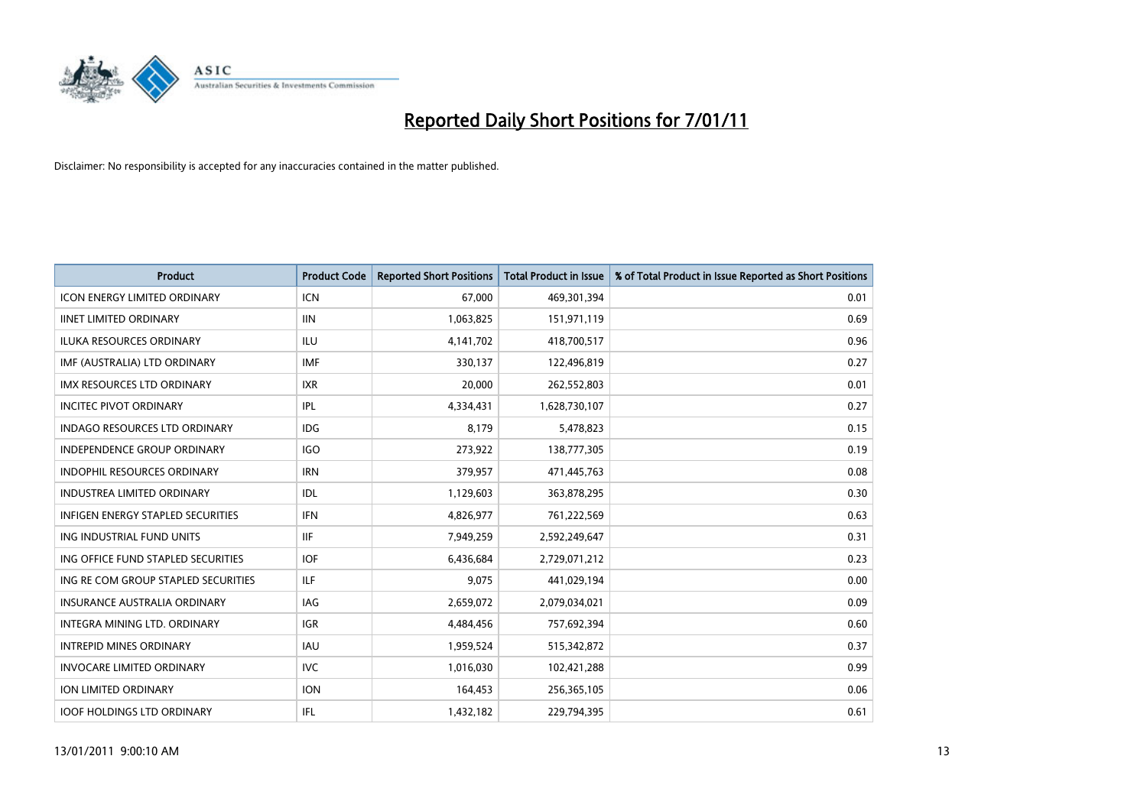

| <b>Product</b>                           | <b>Product Code</b> | <b>Reported Short Positions</b> | <b>Total Product in Issue</b> | % of Total Product in Issue Reported as Short Positions |
|------------------------------------------|---------------------|---------------------------------|-------------------------------|---------------------------------------------------------|
| <b>ICON ENERGY LIMITED ORDINARY</b>      | <b>ICN</b>          | 67,000                          | 469,301,394                   | 0.01                                                    |
| <b>IINET LIMITED ORDINARY</b>            | <b>IIN</b>          | 1,063,825                       | 151,971,119                   | 0.69                                                    |
| <b>ILUKA RESOURCES ORDINARY</b>          | ILU                 | 4,141,702                       | 418,700,517                   | 0.96                                                    |
| IMF (AUSTRALIA) LTD ORDINARY             | <b>IMF</b>          | 330,137                         | 122,496,819                   | 0.27                                                    |
| <b>IMX RESOURCES LTD ORDINARY</b>        | <b>IXR</b>          | 20,000                          | 262,552,803                   | 0.01                                                    |
| <b>INCITEC PIVOT ORDINARY</b>            | <b>IPL</b>          | 4,334,431                       | 1,628,730,107                 | 0.27                                                    |
| <b>INDAGO RESOURCES LTD ORDINARY</b>     | <b>IDG</b>          | 8.179                           | 5,478,823                     | 0.15                                                    |
| <b>INDEPENDENCE GROUP ORDINARY</b>       | <b>IGO</b>          | 273,922                         | 138,777,305                   | 0.19                                                    |
| INDOPHIL RESOURCES ORDINARY              | <b>IRN</b>          | 379,957                         | 471,445,763                   | 0.08                                                    |
| <b>INDUSTREA LIMITED ORDINARY</b>        | IDL                 | 1,129,603                       | 363,878,295                   | 0.30                                                    |
| <b>INFIGEN ENERGY STAPLED SECURITIES</b> | <b>IFN</b>          | 4,826,977                       | 761,222,569                   | 0.63                                                    |
| ING INDUSTRIAL FUND UNITS                | <b>IIF</b>          | 7,949,259                       | 2,592,249,647                 | 0.31                                                    |
| ING OFFICE FUND STAPLED SECURITIES       | <b>IOF</b>          | 6,436,684                       | 2,729,071,212                 | 0.23                                                    |
| ING RE COM GROUP STAPLED SECURITIES      | <b>ILF</b>          | 9,075                           | 441,029,194                   | 0.00                                                    |
| <b>INSURANCE AUSTRALIA ORDINARY</b>      | IAG                 | 2,659,072                       | 2,079,034,021                 | 0.09                                                    |
| INTEGRA MINING LTD. ORDINARY             | <b>IGR</b>          | 4,484,456                       | 757,692,394                   | 0.60                                                    |
| <b>INTREPID MINES ORDINARY</b>           | <b>IAU</b>          | 1,959,524                       | 515,342,872                   | 0.37                                                    |
| <b>INVOCARE LIMITED ORDINARY</b>         | <b>IVC</b>          | 1,016,030                       | 102,421,288                   | 0.99                                                    |
| <b>ION LIMITED ORDINARY</b>              | <b>ION</b>          | 164,453                         | 256,365,105                   | 0.06                                                    |
| <b>IOOF HOLDINGS LTD ORDINARY</b>        | <b>IFL</b>          | 1,432,182                       | 229,794,395                   | 0.61                                                    |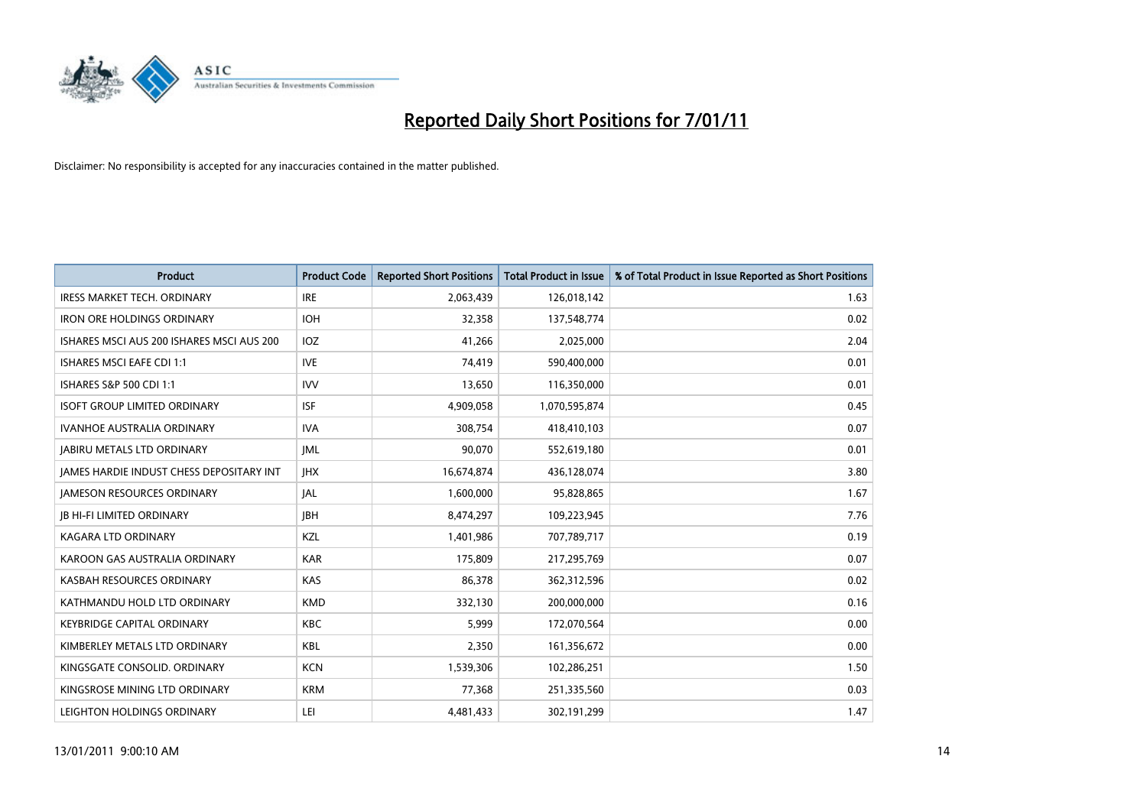

| <b>Product</b>                                  | <b>Product Code</b> | <b>Reported Short Positions</b> | Total Product in Issue | % of Total Product in Issue Reported as Short Positions |
|-------------------------------------------------|---------------------|---------------------------------|------------------------|---------------------------------------------------------|
| <b>IRESS MARKET TECH. ORDINARY</b>              | <b>IRE</b>          | 2,063,439                       | 126,018,142            | 1.63                                                    |
| <b>IRON ORE HOLDINGS ORDINARY</b>               | <b>IOH</b>          | 32,358                          | 137,548,774            | 0.02                                                    |
| ISHARES MSCI AUS 200 ISHARES MSCI AUS 200       | <b>IOZ</b>          | 41,266                          | 2,025,000              | 2.04                                                    |
| <b>ISHARES MSCI EAFE CDI 1:1</b>                | <b>IVE</b>          | 74,419                          | 590,400,000            | 0.01                                                    |
| ISHARES S&P 500 CDI 1:1                         | <b>IVV</b>          | 13,650                          | 116,350,000            | 0.01                                                    |
| <b>ISOFT GROUP LIMITED ORDINARY</b>             | <b>ISF</b>          | 4,909,058                       | 1,070,595,874          | 0.45                                                    |
| <b>IVANHOE AUSTRALIA ORDINARY</b>               | <b>IVA</b>          | 308.754                         | 418,410,103            | 0.07                                                    |
| <b>JABIRU METALS LTD ORDINARY</b>               | <b>JML</b>          | 90,070                          | 552,619,180            | 0.01                                                    |
| <b>JAMES HARDIE INDUST CHESS DEPOSITARY INT</b> | <b>IHX</b>          | 16,674,874                      | 436,128,074            | 3.80                                                    |
| <b>IAMESON RESOURCES ORDINARY</b>               | <b>JAL</b>          | 1,600,000                       | 95,828,865             | 1.67                                                    |
| <b>JB HI-FI LIMITED ORDINARY</b>                | <b>IBH</b>          | 8,474,297                       | 109,223,945            | 7.76                                                    |
| <b>KAGARA LTD ORDINARY</b>                      | KZL                 | 1,401,986                       | 707,789,717            | 0.19                                                    |
| KAROON GAS AUSTRALIA ORDINARY                   | <b>KAR</b>          | 175,809                         | 217,295,769            | 0.07                                                    |
| KASBAH RESOURCES ORDINARY                       | KAS                 | 86.378                          | 362,312,596            | 0.02                                                    |
| KATHMANDU HOLD LTD ORDINARY                     | <b>KMD</b>          | 332,130                         | 200,000,000            | 0.16                                                    |
| <b>KEYBRIDGE CAPITAL ORDINARY</b>               | <b>KBC</b>          | 5,999                           | 172,070,564            | 0.00                                                    |
| KIMBERLEY METALS LTD ORDINARY                   | <b>KBL</b>          | 2,350                           | 161,356,672            | 0.00                                                    |
| KINGSGATE CONSOLID. ORDINARY                    | <b>KCN</b>          | 1,539,306                       | 102,286,251            | 1.50                                                    |
| KINGSROSE MINING LTD ORDINARY                   | <b>KRM</b>          | 77,368                          | 251,335,560            | 0.03                                                    |
| LEIGHTON HOLDINGS ORDINARY                      | LEI                 | 4,481,433                       | 302,191,299            | 1.47                                                    |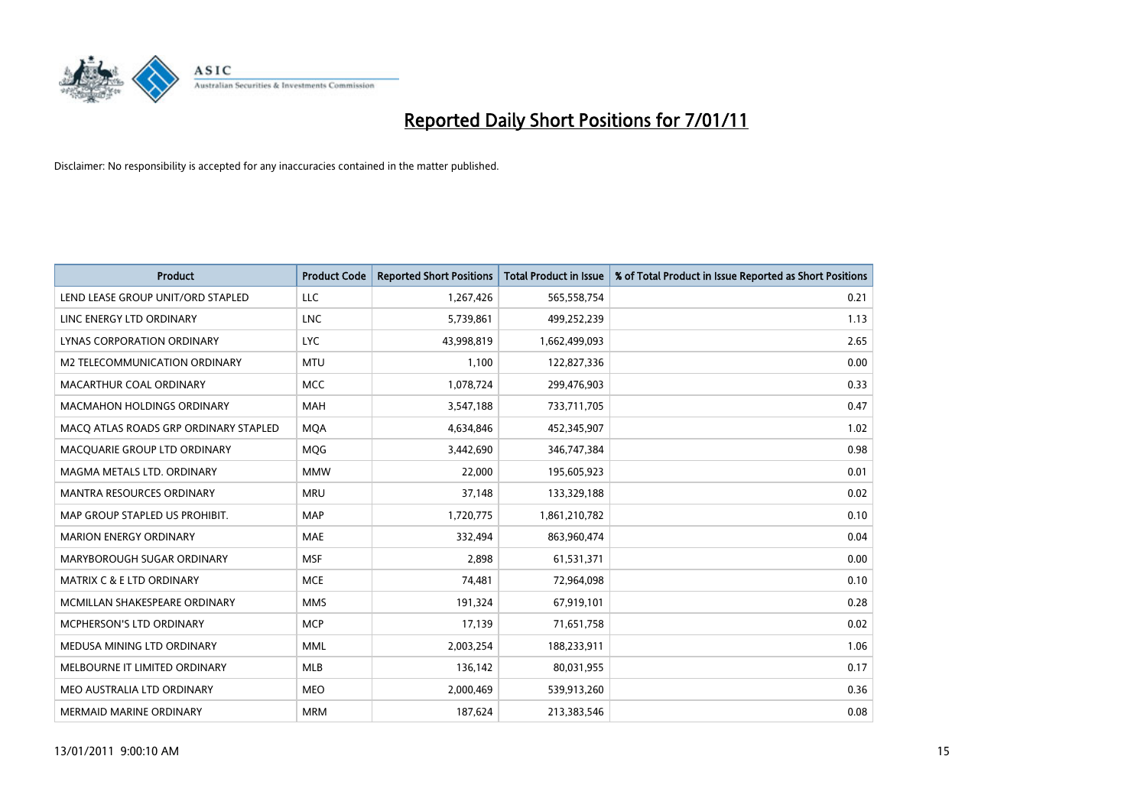

| <b>Product</b>                        | <b>Product Code</b> | <b>Reported Short Positions</b> | <b>Total Product in Issue</b> | % of Total Product in Issue Reported as Short Positions |
|---------------------------------------|---------------------|---------------------------------|-------------------------------|---------------------------------------------------------|
| LEND LEASE GROUP UNIT/ORD STAPLED     | LLC                 | 1,267,426                       | 565,558,754                   | 0.21                                                    |
| LINC ENERGY LTD ORDINARY              | <b>LNC</b>          | 5,739,861                       | 499,252,239                   | 1.13                                                    |
| LYNAS CORPORATION ORDINARY            | <b>LYC</b>          | 43,998,819                      | 1,662,499,093                 | 2.65                                                    |
| M2 TELECOMMUNICATION ORDINARY         | <b>MTU</b>          | 1,100                           | 122,827,336                   | 0.00                                                    |
| MACARTHUR COAL ORDINARY               | <b>MCC</b>          | 1,078,724                       | 299,476,903                   | 0.33                                                    |
| <b>MACMAHON HOLDINGS ORDINARY</b>     | <b>MAH</b>          | 3,547,188                       | 733,711,705                   | 0.47                                                    |
| MACO ATLAS ROADS GRP ORDINARY STAPLED | <b>MOA</b>          | 4,634,846                       | 452,345,907                   | 1.02                                                    |
| MACQUARIE GROUP LTD ORDINARY          | MQG                 | 3,442,690                       | 346,747,384                   | 0.98                                                    |
| MAGMA METALS LTD. ORDINARY            | <b>MMW</b>          | 22,000                          | 195,605,923                   | 0.01                                                    |
| <b>MANTRA RESOURCES ORDINARY</b>      | <b>MRU</b>          | 37,148                          | 133,329,188                   | 0.02                                                    |
| MAP GROUP STAPLED US PROHIBIT.        | <b>MAP</b>          | 1,720,775                       | 1,861,210,782                 | 0.10                                                    |
| <b>MARION ENERGY ORDINARY</b>         | <b>MAE</b>          | 332,494                         | 863,960,474                   | 0.04                                                    |
| MARYBOROUGH SUGAR ORDINARY            | <b>MSF</b>          | 2,898                           | 61,531,371                    | 0.00                                                    |
| MATRIX C & E LTD ORDINARY             | <b>MCE</b>          | 74,481                          | 72,964,098                    | 0.10                                                    |
| MCMILLAN SHAKESPEARE ORDINARY         | <b>MMS</b>          | 191,324                         | 67,919,101                    | 0.28                                                    |
| MCPHERSON'S LTD ORDINARY              | <b>MCP</b>          | 17,139                          | 71,651,758                    | 0.02                                                    |
| MEDUSA MINING LTD ORDINARY            | <b>MML</b>          | 2,003,254                       | 188,233,911                   | 1.06                                                    |
| MELBOURNE IT LIMITED ORDINARY         | <b>MLB</b>          | 136,142                         | 80,031,955                    | 0.17                                                    |
| MEO AUSTRALIA LTD ORDINARY            | <b>MEO</b>          | 2,000,469                       | 539,913,260                   | 0.36                                                    |
| MERMAID MARINE ORDINARY               | <b>MRM</b>          | 187,624                         | 213,383,546                   | 0.08                                                    |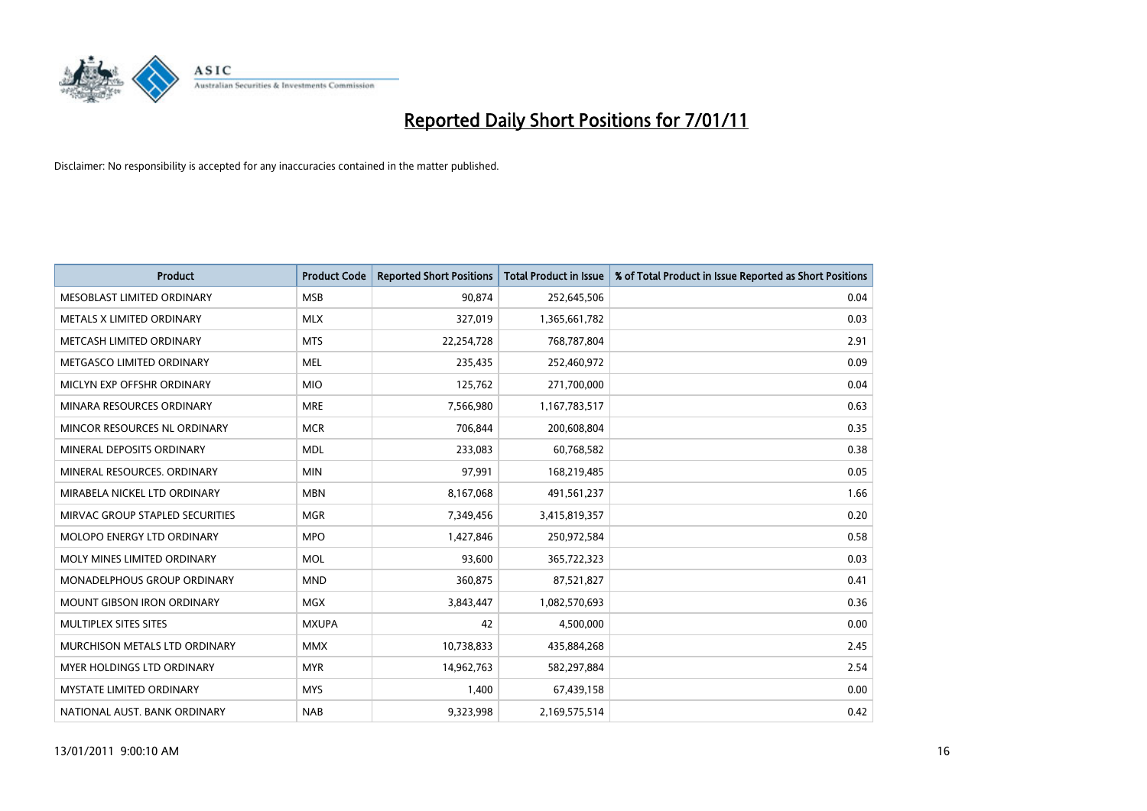

| <b>Product</b>                    | <b>Product Code</b> | <b>Reported Short Positions</b> | <b>Total Product in Issue</b> | % of Total Product in Issue Reported as Short Positions |
|-----------------------------------|---------------------|---------------------------------|-------------------------------|---------------------------------------------------------|
| MESOBLAST LIMITED ORDINARY        | <b>MSB</b>          | 90,874                          | 252,645,506                   | 0.04                                                    |
| METALS X LIMITED ORDINARY         | <b>MLX</b>          | 327,019                         | 1,365,661,782                 | 0.03                                                    |
| METCASH LIMITED ORDINARY          | <b>MTS</b>          | 22,254,728                      | 768,787,804                   | 2.91                                                    |
| METGASCO LIMITED ORDINARY         | <b>MEL</b>          | 235,435                         | 252,460,972                   | 0.09                                                    |
| MICLYN EXP OFFSHR ORDINARY        | <b>MIO</b>          | 125,762                         | 271,700,000                   | 0.04                                                    |
| MINARA RESOURCES ORDINARY         | <b>MRE</b>          | 7,566,980                       | 1,167,783,517                 | 0.63                                                    |
| MINCOR RESOURCES NL ORDINARY      | <b>MCR</b>          | 706.844                         | 200,608,804                   | 0.35                                                    |
| MINERAL DEPOSITS ORDINARY         | <b>MDL</b>          | 233,083                         | 60,768,582                    | 0.38                                                    |
| MINERAL RESOURCES. ORDINARY       | <b>MIN</b>          | 97,991                          | 168,219,485                   | 0.05                                                    |
| MIRABELA NICKEL LTD ORDINARY      | <b>MBN</b>          | 8,167,068                       | 491,561,237                   | 1.66                                                    |
| MIRVAC GROUP STAPLED SECURITIES   | <b>MGR</b>          | 7,349,456                       | 3,415,819,357                 | 0.20                                                    |
| MOLOPO ENERGY LTD ORDINARY        | <b>MPO</b>          | 1,427,846                       | 250,972,584                   | 0.58                                                    |
| MOLY MINES LIMITED ORDINARY       | <b>MOL</b>          | 93.600                          | 365,722,323                   | 0.03                                                    |
| MONADELPHOUS GROUP ORDINARY       | <b>MND</b>          | 360,875                         | 87,521,827                    | 0.41                                                    |
| <b>MOUNT GIBSON IRON ORDINARY</b> | <b>MGX</b>          | 3,843,447                       | 1,082,570,693                 | 0.36                                                    |
| MULTIPLEX SITES SITES             | <b>MXUPA</b>        | 42                              | 4,500,000                     | 0.00                                                    |
| MURCHISON METALS LTD ORDINARY     | <b>MMX</b>          | 10,738,833                      | 435,884,268                   | 2.45                                                    |
| MYER HOLDINGS LTD ORDINARY        | <b>MYR</b>          | 14,962,763                      | 582,297,884                   | 2.54                                                    |
| <b>MYSTATE LIMITED ORDINARY</b>   | <b>MYS</b>          | 1,400                           | 67,439,158                    | 0.00                                                    |
| NATIONAL AUST. BANK ORDINARY      | <b>NAB</b>          | 9,323,998                       | 2,169,575,514                 | 0.42                                                    |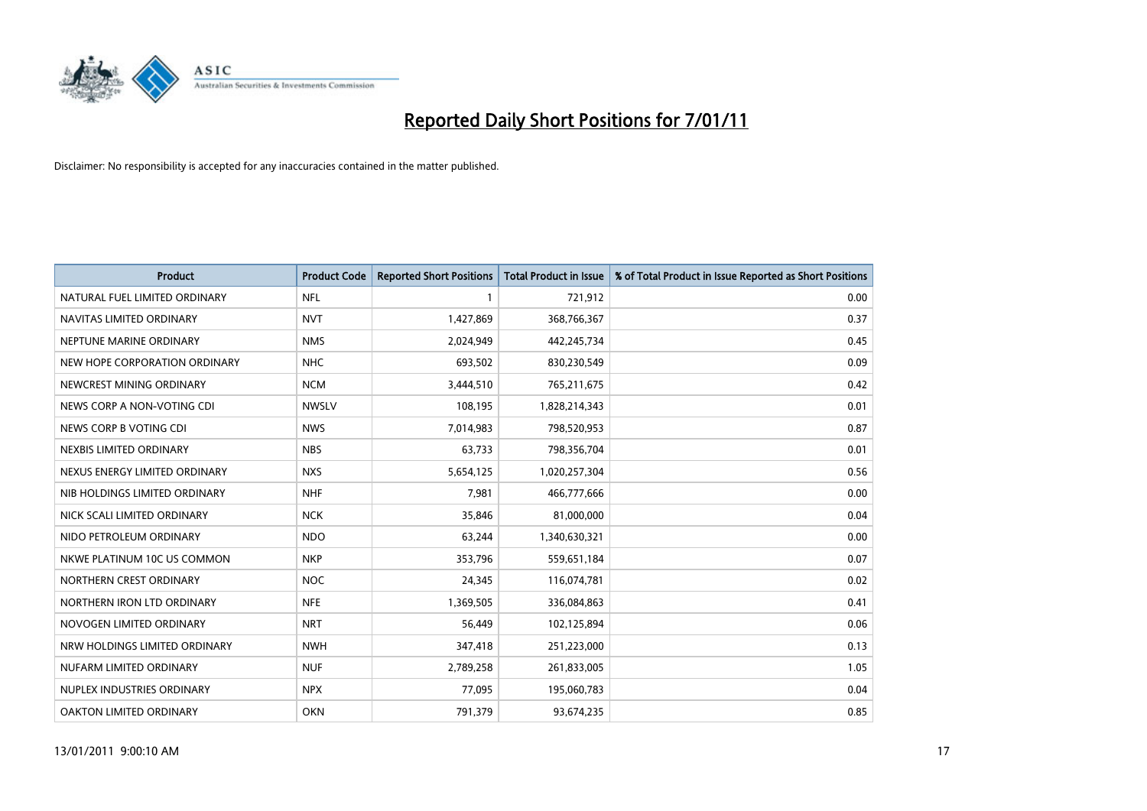

| <b>Product</b>                | <b>Product Code</b> | <b>Reported Short Positions</b> | <b>Total Product in Issue</b> | % of Total Product in Issue Reported as Short Positions |
|-------------------------------|---------------------|---------------------------------|-------------------------------|---------------------------------------------------------|
| NATURAL FUEL LIMITED ORDINARY | <b>NFL</b>          |                                 | 721,912                       | 0.00                                                    |
| NAVITAS LIMITED ORDINARY      | <b>NVT</b>          | 1,427,869                       | 368,766,367                   | 0.37                                                    |
| NEPTUNE MARINE ORDINARY       | <b>NMS</b>          | 2,024,949                       | 442,245,734                   | 0.45                                                    |
| NEW HOPE CORPORATION ORDINARY | <b>NHC</b>          | 693,502                         | 830,230,549                   | 0.09                                                    |
| NEWCREST MINING ORDINARY      | <b>NCM</b>          | 3,444,510                       | 765,211,675                   | 0.42                                                    |
| NEWS CORP A NON-VOTING CDI    | <b>NWSLV</b>        | 108,195                         | 1,828,214,343                 | 0.01                                                    |
| NEWS CORP B VOTING CDI        | <b>NWS</b>          | 7,014,983                       | 798,520,953                   | 0.87                                                    |
| NEXBIS LIMITED ORDINARY       | <b>NBS</b>          | 63.733                          | 798,356,704                   | 0.01                                                    |
| NEXUS ENERGY LIMITED ORDINARY | <b>NXS</b>          | 5,654,125                       | 1,020,257,304                 | 0.56                                                    |
| NIB HOLDINGS LIMITED ORDINARY | <b>NHF</b>          | 7,981                           | 466,777,666                   | 0.00                                                    |
| NICK SCALI LIMITED ORDINARY   | <b>NCK</b>          | 35,846                          | 81,000,000                    | 0.04                                                    |
| NIDO PETROLEUM ORDINARY       | <b>NDO</b>          | 63,244                          | 1,340,630,321                 | 0.00                                                    |
| NKWE PLATINUM 10C US COMMON   | <b>NKP</b>          | 353,796                         | 559,651,184                   | 0.07                                                    |
| NORTHERN CREST ORDINARY       | <b>NOC</b>          | 24,345                          | 116,074,781                   | 0.02                                                    |
| NORTHERN IRON LTD ORDINARY    | <b>NFE</b>          | 1,369,505                       | 336,084,863                   | 0.41                                                    |
| NOVOGEN LIMITED ORDINARY      | <b>NRT</b>          | 56,449                          | 102,125,894                   | 0.06                                                    |
| NRW HOLDINGS LIMITED ORDINARY | <b>NWH</b>          | 347,418                         | 251,223,000                   | 0.13                                                    |
| NUFARM LIMITED ORDINARY       | <b>NUF</b>          | 2,789,258                       | 261,833,005                   | 1.05                                                    |
| NUPLEX INDUSTRIES ORDINARY    | <b>NPX</b>          | 77,095                          | 195,060,783                   | 0.04                                                    |
| OAKTON LIMITED ORDINARY       | <b>OKN</b>          | 791,379                         | 93,674,235                    | 0.85                                                    |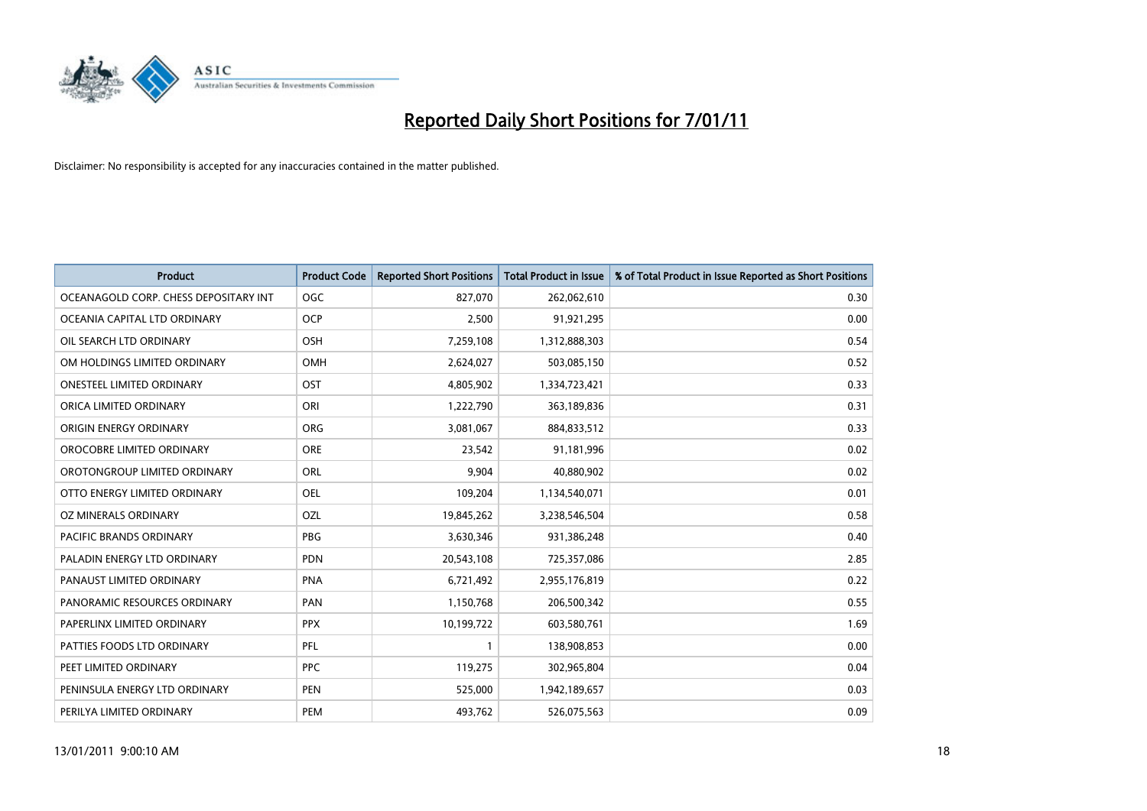

| <b>Product</b>                        | <b>Product Code</b> | <b>Reported Short Positions</b> | <b>Total Product in Issue</b> | % of Total Product in Issue Reported as Short Positions |
|---------------------------------------|---------------------|---------------------------------|-------------------------------|---------------------------------------------------------|
| OCEANAGOLD CORP. CHESS DEPOSITARY INT | <b>OGC</b>          | 827,070                         | 262,062,610                   | 0.30                                                    |
| OCEANIA CAPITAL LTD ORDINARY          | <b>OCP</b>          | 2,500                           | 91,921,295                    | 0.00                                                    |
| OIL SEARCH LTD ORDINARY               | <b>OSH</b>          | 7,259,108                       | 1,312,888,303                 | 0.54                                                    |
| OM HOLDINGS LIMITED ORDINARY          | <b>OMH</b>          | 2,624,027                       | 503,085,150                   | 0.52                                                    |
| <b>ONESTEEL LIMITED ORDINARY</b>      | OST                 | 4,805,902                       | 1,334,723,421                 | 0.33                                                    |
| ORICA LIMITED ORDINARY                | ORI                 | 1,222,790                       | 363,189,836                   | 0.31                                                    |
| ORIGIN ENERGY ORDINARY                | <b>ORG</b>          | 3,081,067                       | 884,833,512                   | 0.33                                                    |
| OROCOBRE LIMITED ORDINARY             | <b>ORE</b>          | 23,542                          | 91,181,996                    | 0.02                                                    |
| OROTONGROUP LIMITED ORDINARY          | ORL                 | 9,904                           | 40,880,902                    | 0.02                                                    |
| OTTO ENERGY LIMITED ORDINARY          | OEL                 | 109,204                         | 1,134,540,071                 | 0.01                                                    |
| OZ MINERALS ORDINARY                  | OZL                 | 19,845,262                      | 3,238,546,504                 | 0.58                                                    |
| PACIFIC BRANDS ORDINARY               | <b>PBG</b>          | 3,630,346                       | 931,386,248                   | 0.40                                                    |
| PALADIN ENERGY LTD ORDINARY           | <b>PDN</b>          | 20,543,108                      | 725,357,086                   | 2.85                                                    |
| PANAUST LIMITED ORDINARY              | <b>PNA</b>          | 6,721,492                       | 2,955,176,819                 | 0.22                                                    |
| PANORAMIC RESOURCES ORDINARY          | PAN                 | 1,150,768                       | 206,500,342                   | 0.55                                                    |
| PAPERLINX LIMITED ORDINARY            | <b>PPX</b>          | 10,199,722                      | 603,580,761                   | 1.69                                                    |
| PATTIES FOODS LTD ORDINARY            | PFL                 |                                 | 138,908,853                   | 0.00                                                    |
| PEET LIMITED ORDINARY                 | <b>PPC</b>          | 119,275                         | 302,965,804                   | 0.04                                                    |
| PENINSULA ENERGY LTD ORDINARY         | <b>PEN</b>          | 525,000                         | 1,942,189,657                 | 0.03                                                    |
| PERILYA LIMITED ORDINARY              | PEM                 | 493,762                         | 526,075,563                   | 0.09                                                    |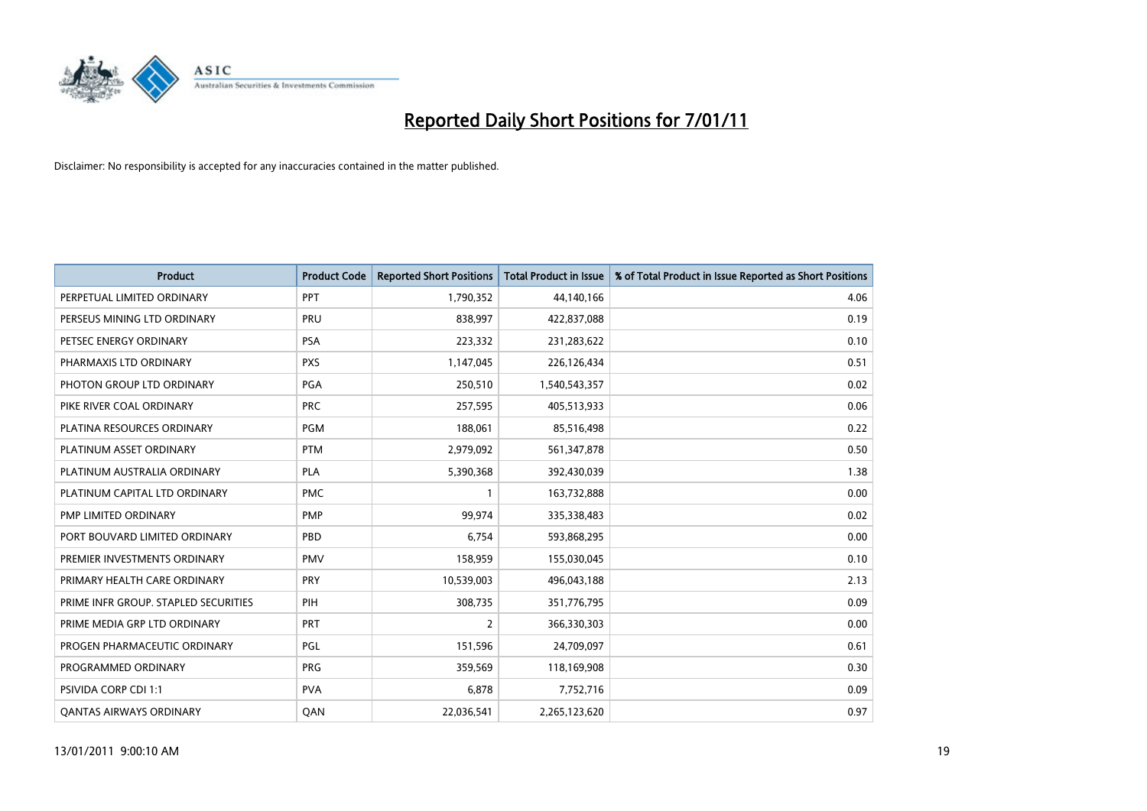

| <b>Product</b>                       | <b>Product Code</b> | <b>Reported Short Positions</b> | Total Product in Issue | % of Total Product in Issue Reported as Short Positions |
|--------------------------------------|---------------------|---------------------------------|------------------------|---------------------------------------------------------|
| PERPETUAL LIMITED ORDINARY           | PPT                 | 1,790,352                       | 44,140,166             | 4.06                                                    |
| PERSEUS MINING LTD ORDINARY          | PRU                 | 838,997                         | 422,837,088            | 0.19                                                    |
| PETSEC ENERGY ORDINARY               | <b>PSA</b>          | 223,332                         | 231,283,622            | 0.10                                                    |
| PHARMAXIS LTD ORDINARY               | <b>PXS</b>          | 1,147,045                       | 226,126,434            | 0.51                                                    |
| PHOTON GROUP LTD ORDINARY            | PGA                 | 250,510                         | 1,540,543,357          | 0.02                                                    |
| PIKE RIVER COAL ORDINARY             | <b>PRC</b>          | 257,595                         | 405,513,933            | 0.06                                                    |
| PLATINA RESOURCES ORDINARY           | <b>PGM</b>          | 188,061                         | 85,516,498             | 0.22                                                    |
| PLATINUM ASSET ORDINARY              | <b>PTM</b>          | 2,979,092                       | 561,347,878            | 0.50                                                    |
| PLATINUM AUSTRALIA ORDINARY          | <b>PLA</b>          | 5,390,368                       | 392,430,039            | 1.38                                                    |
| PLATINUM CAPITAL LTD ORDINARY        | <b>PMC</b>          |                                 | 163,732,888            | 0.00                                                    |
| PMP LIMITED ORDINARY                 | <b>PMP</b>          | 99,974                          | 335,338,483            | 0.02                                                    |
| PORT BOUVARD LIMITED ORDINARY        | PBD                 | 6,754                           | 593,868,295            | 0.00                                                    |
| PREMIER INVESTMENTS ORDINARY         | <b>PMV</b>          | 158,959                         | 155,030,045            | 0.10                                                    |
| PRIMARY HEALTH CARE ORDINARY         | PRY                 | 10,539,003                      | 496,043,188            | 2.13                                                    |
| PRIME INFR GROUP. STAPLED SECURITIES | PIH                 | 308,735                         | 351,776,795            | 0.09                                                    |
| PRIME MEDIA GRP LTD ORDINARY         | PRT                 | 2                               | 366,330,303            | 0.00                                                    |
| PROGEN PHARMACEUTIC ORDINARY         | <b>PGL</b>          | 151,596                         | 24,709,097             | 0.61                                                    |
| PROGRAMMED ORDINARY                  | <b>PRG</b>          | 359,569                         | 118,169,908            | 0.30                                                    |
| PSIVIDA CORP CDI 1:1                 | <b>PVA</b>          | 6,878                           | 7,752,716              | 0.09                                                    |
| <b>QANTAS AIRWAYS ORDINARY</b>       | QAN                 | 22,036,541                      | 2,265,123,620          | 0.97                                                    |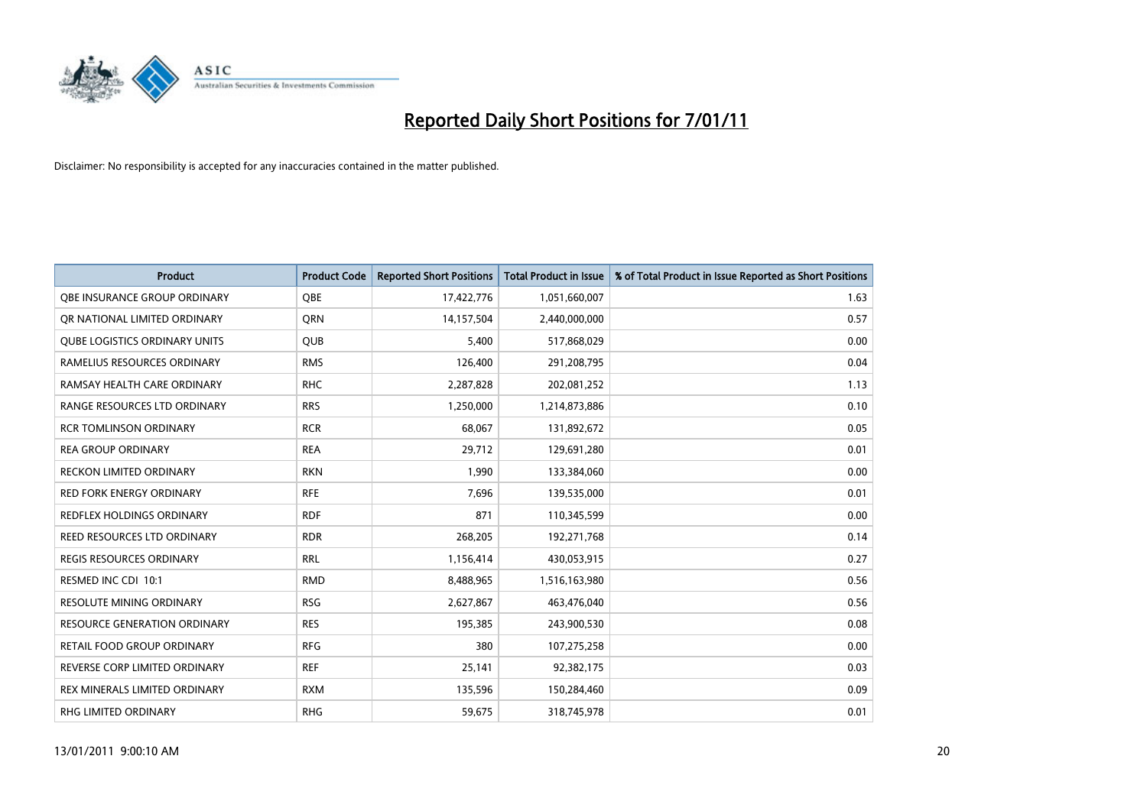

| <b>Product</b>                       | <b>Product Code</b> | <b>Reported Short Positions</b> | <b>Total Product in Issue</b> | % of Total Product in Issue Reported as Short Positions |
|--------------------------------------|---------------------|---------------------------------|-------------------------------|---------------------------------------------------------|
| OBE INSURANCE GROUP ORDINARY         | <b>OBE</b>          | 17,422,776                      | 1,051,660,007                 | 1.63                                                    |
| OR NATIONAL LIMITED ORDINARY         | <b>ORN</b>          | 14,157,504                      | 2,440,000,000                 | 0.57                                                    |
| <b>QUBE LOGISTICS ORDINARY UNITS</b> | <b>QUB</b>          | 5,400                           | 517,868,029                   | 0.00                                                    |
| RAMELIUS RESOURCES ORDINARY          | <b>RMS</b>          | 126,400                         | 291,208,795                   | 0.04                                                    |
| RAMSAY HEALTH CARE ORDINARY          | <b>RHC</b>          | 2,287,828                       | 202,081,252                   | 1.13                                                    |
| RANGE RESOURCES LTD ORDINARY         | <b>RRS</b>          | 1,250,000                       | 1,214,873,886                 | 0.10                                                    |
| <b>RCR TOMLINSON ORDINARY</b>        | <b>RCR</b>          | 68,067                          | 131,892,672                   | 0.05                                                    |
| <b>REA GROUP ORDINARY</b>            | <b>REA</b>          | 29,712                          | 129,691,280                   | 0.01                                                    |
| RECKON LIMITED ORDINARY              | <b>RKN</b>          | 1,990                           | 133,384,060                   | 0.00                                                    |
| <b>RED FORK ENERGY ORDINARY</b>      | <b>RFE</b>          | 7,696                           | 139,535,000                   | 0.01                                                    |
| REDFLEX HOLDINGS ORDINARY            | <b>RDF</b>          | 871                             | 110,345,599                   | 0.00                                                    |
| REED RESOURCES LTD ORDINARY          | <b>RDR</b>          | 268,205                         | 192,271,768                   | 0.14                                                    |
| <b>REGIS RESOURCES ORDINARY</b>      | <b>RRL</b>          | 1,156,414                       | 430,053,915                   | 0.27                                                    |
| RESMED INC CDI 10:1                  | <b>RMD</b>          | 8,488,965                       | 1,516,163,980                 | 0.56                                                    |
| RESOLUTE MINING ORDINARY             | <b>RSG</b>          | 2,627,867                       | 463,476,040                   | 0.56                                                    |
| <b>RESOURCE GENERATION ORDINARY</b>  | <b>RES</b>          | 195,385                         | 243,900,530                   | 0.08                                                    |
| RETAIL FOOD GROUP ORDINARY           | <b>RFG</b>          | 380                             | 107,275,258                   | 0.00                                                    |
| REVERSE CORP LIMITED ORDINARY        | <b>REF</b>          | 25,141                          | 92,382,175                    | 0.03                                                    |
| REX MINERALS LIMITED ORDINARY        | <b>RXM</b>          | 135,596                         | 150,284,460                   | 0.09                                                    |
| RHG LIMITED ORDINARY                 | <b>RHG</b>          | 59,675                          | 318,745,978                   | 0.01                                                    |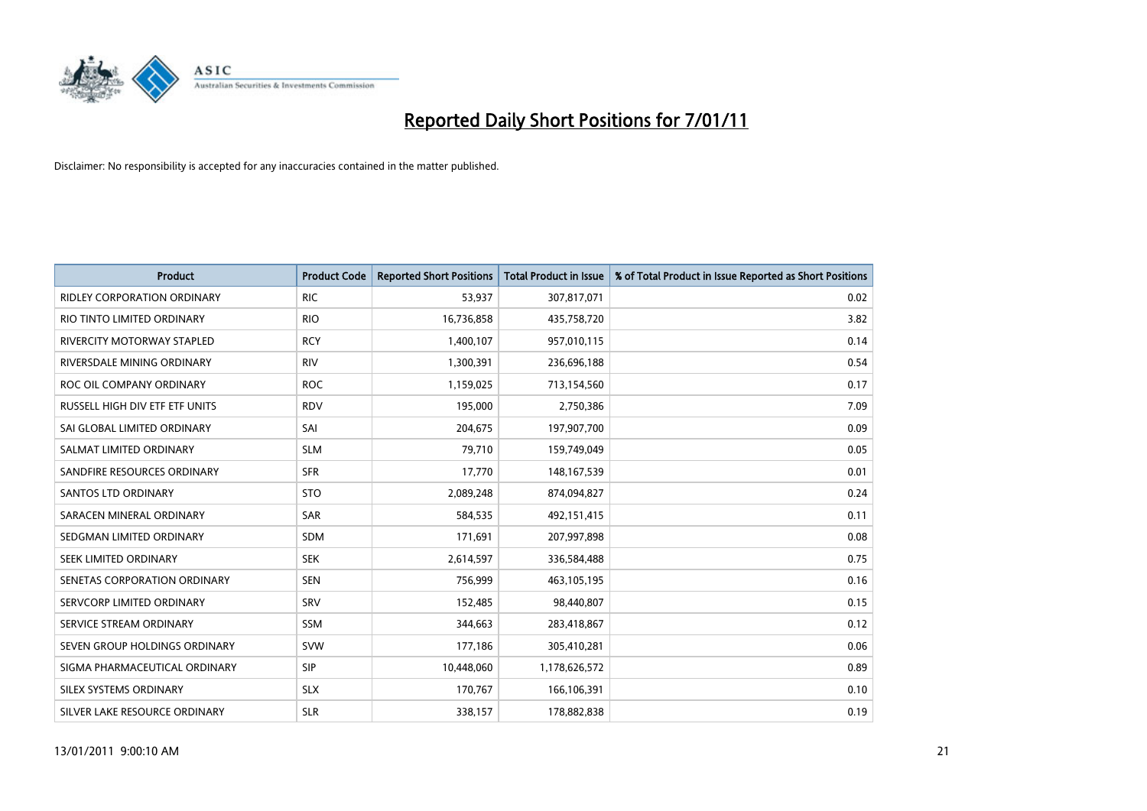

| <b>Product</b>                     | <b>Product Code</b> | <b>Reported Short Positions</b> | Total Product in Issue | % of Total Product in Issue Reported as Short Positions |
|------------------------------------|---------------------|---------------------------------|------------------------|---------------------------------------------------------|
| <b>RIDLEY CORPORATION ORDINARY</b> | <b>RIC</b>          | 53,937                          | 307,817,071            | 0.02                                                    |
| RIO TINTO LIMITED ORDINARY         | <b>RIO</b>          | 16,736,858                      | 435,758,720            | 3.82                                                    |
| RIVERCITY MOTORWAY STAPLED         | <b>RCY</b>          | 1,400,107                       | 957,010,115            | 0.14                                                    |
| RIVERSDALE MINING ORDINARY         | <b>RIV</b>          | 1,300,391                       | 236,696,188            | 0.54                                                    |
| ROC OIL COMPANY ORDINARY           | <b>ROC</b>          | 1,159,025                       | 713,154,560            | 0.17                                                    |
| RUSSELL HIGH DIV ETF ETF UNITS     | <b>RDV</b>          | 195,000                         | 2,750,386              | 7.09                                                    |
| SAI GLOBAL LIMITED ORDINARY        | SAI                 | 204,675                         | 197,907,700            | 0.09                                                    |
| SALMAT LIMITED ORDINARY            | <b>SLM</b>          | 79,710                          | 159,749,049            | 0.05                                                    |
| SANDFIRE RESOURCES ORDINARY        | <b>SFR</b>          | 17,770                          | 148, 167, 539          | 0.01                                                    |
| SANTOS LTD ORDINARY                | <b>STO</b>          | 2,089,248                       | 874,094,827            | 0.24                                                    |
| SARACEN MINERAL ORDINARY           | <b>SAR</b>          | 584,535                         | 492,151,415            | 0.11                                                    |
| SEDGMAN LIMITED ORDINARY           | <b>SDM</b>          | 171,691                         | 207,997,898            | 0.08                                                    |
| SEEK LIMITED ORDINARY              | <b>SEK</b>          | 2,614,597                       | 336,584,488            | 0.75                                                    |
| SENETAS CORPORATION ORDINARY       | <b>SEN</b>          | 756.999                         | 463,105,195            | 0.16                                                    |
| SERVCORP LIMITED ORDINARY          | SRV                 | 152,485                         | 98,440,807             | 0.15                                                    |
| SERVICE STREAM ORDINARY            | <b>SSM</b>          | 344,663                         | 283,418,867            | 0.12                                                    |
| SEVEN GROUP HOLDINGS ORDINARY      | <b>SVW</b>          | 177,186                         | 305,410,281            | 0.06                                                    |
| SIGMA PHARMACEUTICAL ORDINARY      | <b>SIP</b>          | 10,448,060                      | 1,178,626,572          | 0.89                                                    |
| SILEX SYSTEMS ORDINARY             | <b>SLX</b>          | 170,767                         | 166,106,391            | 0.10                                                    |
| SILVER LAKE RESOURCE ORDINARY      | <b>SLR</b>          | 338,157                         | 178,882,838            | 0.19                                                    |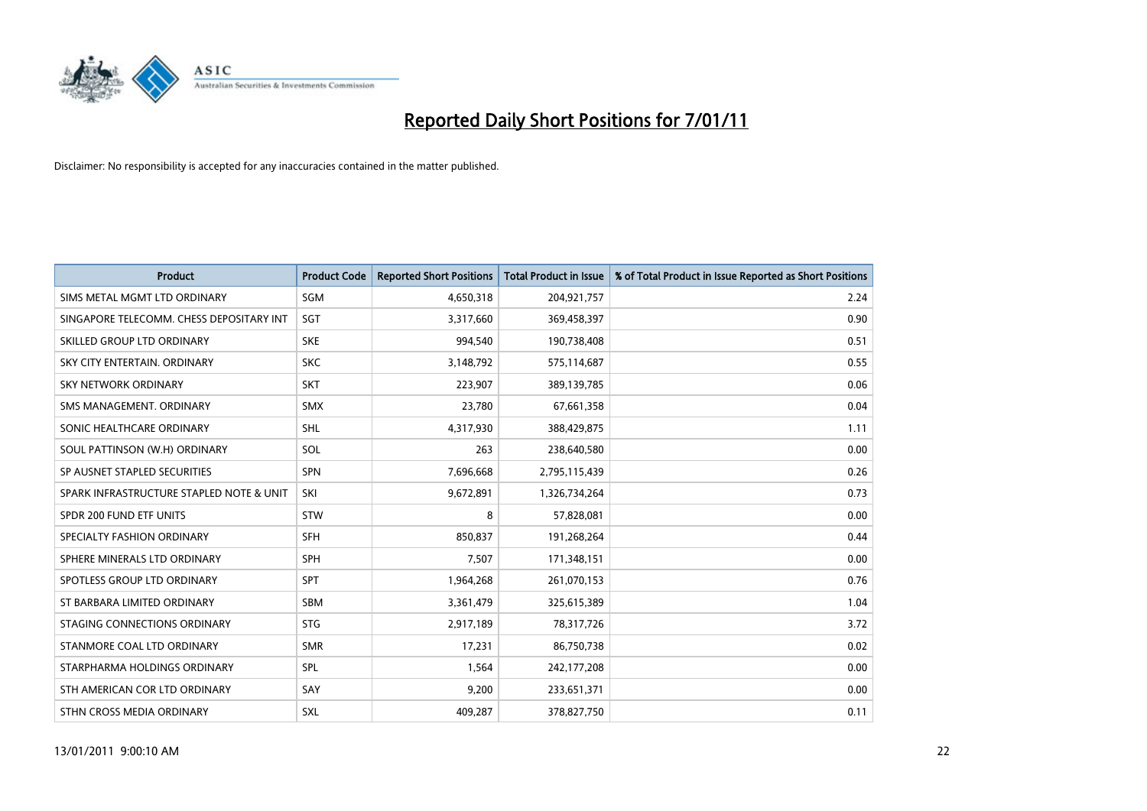

| <b>Product</b>                           | <b>Product Code</b> | <b>Reported Short Positions</b> | Total Product in Issue | % of Total Product in Issue Reported as Short Positions |
|------------------------------------------|---------------------|---------------------------------|------------------------|---------------------------------------------------------|
| SIMS METAL MGMT LTD ORDINARY             | <b>SGM</b>          | 4,650,318                       | 204,921,757            | 2.24                                                    |
| SINGAPORE TELECOMM. CHESS DEPOSITARY INT | SGT                 | 3,317,660                       | 369,458,397            | 0.90                                                    |
| SKILLED GROUP LTD ORDINARY               | <b>SKE</b>          | 994,540                         | 190,738,408            | 0.51                                                    |
| SKY CITY ENTERTAIN. ORDINARY             | <b>SKC</b>          | 3,148,792                       | 575,114,687            | 0.55                                                    |
| <b>SKY NETWORK ORDINARY</b>              | <b>SKT</b>          | 223,907                         | 389,139,785            | 0.06                                                    |
| SMS MANAGEMENT, ORDINARY                 | <b>SMX</b>          | 23.780                          | 67,661,358             | 0.04                                                    |
| SONIC HEALTHCARE ORDINARY                | <b>SHL</b>          | 4,317,930                       | 388,429,875            | 1.11                                                    |
| SOUL PATTINSON (W.H) ORDINARY            | SOL                 | 263                             | 238,640,580            | 0.00                                                    |
| SP AUSNET STAPLED SECURITIES             | <b>SPN</b>          | 7,696,668                       | 2,795,115,439          | 0.26                                                    |
| SPARK INFRASTRUCTURE STAPLED NOTE & UNIT | SKI                 | 9,672,891                       | 1,326,734,264          | 0.73                                                    |
| SPDR 200 FUND ETF UNITS                  | <b>STW</b>          | 8                               | 57,828,081             | 0.00                                                    |
| SPECIALTY FASHION ORDINARY               | <b>SFH</b>          | 850,837                         | 191,268,264            | 0.44                                                    |
| SPHERE MINERALS LTD ORDINARY             | SPH                 | 7,507                           | 171,348,151            | 0.00                                                    |
| SPOTLESS GROUP LTD ORDINARY              | <b>SPT</b>          | 1,964,268                       | 261,070,153            | 0.76                                                    |
| ST BARBARA LIMITED ORDINARY              | SBM                 | 3,361,479                       | 325,615,389            | 1.04                                                    |
| STAGING CONNECTIONS ORDINARY             | <b>STG</b>          | 2,917,189                       | 78,317,726             | 3.72                                                    |
| STANMORE COAL LTD ORDINARY               | <b>SMR</b>          | 17,231                          | 86,750,738             | 0.02                                                    |
| STARPHARMA HOLDINGS ORDINARY             | <b>SPL</b>          | 1,564                           | 242,177,208            | 0.00                                                    |
| STH AMERICAN COR LTD ORDINARY            | SAY                 | 9,200                           | 233,651,371            | 0.00                                                    |
| STHN CROSS MEDIA ORDINARY                | <b>SXL</b>          | 409,287                         | 378,827,750            | 0.11                                                    |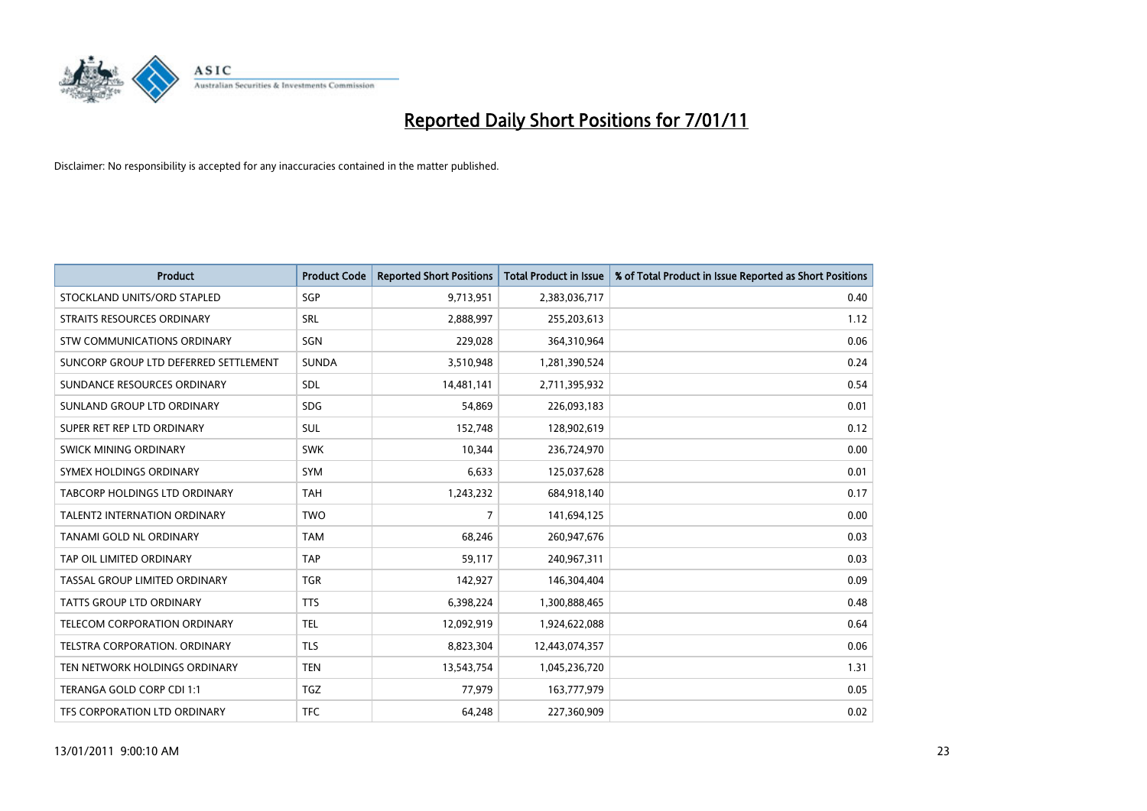

| <b>Product</b>                        | <b>Product Code</b> | <b>Reported Short Positions</b> | <b>Total Product in Issue</b> | % of Total Product in Issue Reported as Short Positions |
|---------------------------------------|---------------------|---------------------------------|-------------------------------|---------------------------------------------------------|
| STOCKLAND UNITS/ORD STAPLED           | SGP                 | 9,713,951                       | 2,383,036,717                 | 0.40                                                    |
| STRAITS RESOURCES ORDINARY            | SRL                 | 2,888,997                       | 255,203,613                   | 1.12                                                    |
| STW COMMUNICATIONS ORDINARY           | SGN                 | 229,028                         | 364,310,964                   | 0.06                                                    |
| SUNCORP GROUP LTD DEFERRED SETTLEMENT | <b>SUNDA</b>        | 3,510,948                       | 1,281,390,524                 | 0.24                                                    |
| SUNDANCE RESOURCES ORDINARY           | <b>SDL</b>          | 14,481,141                      | 2,711,395,932                 | 0.54                                                    |
| SUNLAND GROUP LTD ORDINARY            | <b>SDG</b>          | 54,869                          | 226,093,183                   | 0.01                                                    |
| SUPER RET REP LTD ORDINARY            | <b>SUL</b>          | 152,748                         | 128,902,619                   | 0.12                                                    |
| SWICK MINING ORDINARY                 | <b>SWK</b>          | 10,344                          | 236,724,970                   | 0.00                                                    |
| SYMEX HOLDINGS ORDINARY               | <b>SYM</b>          | 6,633                           | 125,037,628                   | 0.01                                                    |
| TABCORP HOLDINGS LTD ORDINARY         | <b>TAH</b>          | 1,243,232                       | 684,918,140                   | 0.17                                                    |
| <b>TALENT2 INTERNATION ORDINARY</b>   | <b>TWO</b>          | 7                               | 141,694,125                   | 0.00                                                    |
| TANAMI GOLD NL ORDINARY               | <b>TAM</b>          | 68,246                          | 260,947,676                   | 0.03                                                    |
| TAP OIL LIMITED ORDINARY              | <b>TAP</b>          | 59,117                          | 240,967,311                   | 0.03                                                    |
| TASSAL GROUP LIMITED ORDINARY         | <b>TGR</b>          | 142,927                         | 146,304,404                   | 0.09                                                    |
| TATTS GROUP LTD ORDINARY              | <b>TTS</b>          | 6,398,224                       | 1,300,888,465                 | 0.48                                                    |
| TELECOM CORPORATION ORDINARY          | <b>TEL</b>          | 12,092,919                      | 1,924,622,088                 | 0.64                                                    |
| TELSTRA CORPORATION, ORDINARY         | <b>TLS</b>          | 8,823,304                       | 12,443,074,357                | 0.06                                                    |
| TEN NETWORK HOLDINGS ORDINARY         | <b>TEN</b>          | 13,543,754                      | 1,045,236,720                 | 1.31                                                    |
| TERANGA GOLD CORP CDI 1:1             | <b>TGZ</b>          | 77,979                          | 163,777,979                   | 0.05                                                    |
| TFS CORPORATION LTD ORDINARY          | <b>TFC</b>          | 64,248                          | 227,360,909                   | 0.02                                                    |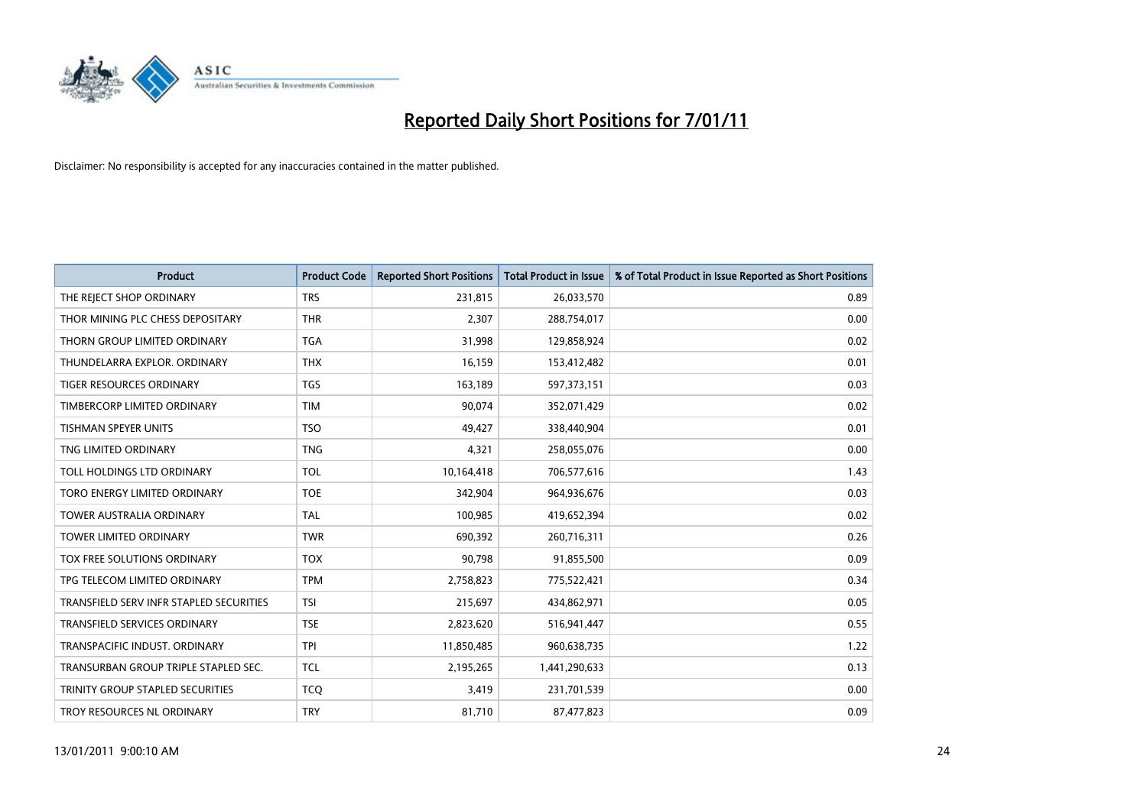

| <b>Product</b>                          | <b>Product Code</b> | <b>Reported Short Positions</b> | Total Product in Issue | % of Total Product in Issue Reported as Short Positions |
|-----------------------------------------|---------------------|---------------------------------|------------------------|---------------------------------------------------------|
| THE REJECT SHOP ORDINARY                | <b>TRS</b>          | 231,815                         | 26,033,570             | 0.89                                                    |
| THOR MINING PLC CHESS DEPOSITARY        | <b>THR</b>          | 2,307                           | 288,754,017            | 0.00                                                    |
| THORN GROUP LIMITED ORDINARY            | <b>TGA</b>          | 31,998                          | 129,858,924            | 0.02                                                    |
| THUNDELARRA EXPLOR. ORDINARY            | <b>THX</b>          | 16,159                          | 153,412,482            | 0.01                                                    |
| <b>TIGER RESOURCES ORDINARY</b>         | <b>TGS</b>          | 163,189                         | 597,373,151            | 0.03                                                    |
| TIMBERCORP LIMITED ORDINARY             | <b>TIM</b>          | 90,074                          | 352,071,429            | 0.02                                                    |
| <b>TISHMAN SPEYER UNITS</b>             | <b>TSO</b>          | 49,427                          | 338,440,904            | 0.01                                                    |
| TNG LIMITED ORDINARY                    | <b>TNG</b>          | 4,321                           | 258,055,076            | 0.00                                                    |
| TOLL HOLDINGS LTD ORDINARY              | <b>TOL</b>          | 10,164,418                      | 706,577,616            | 1.43                                                    |
| TORO ENERGY LIMITED ORDINARY            | <b>TOE</b>          | 342,904                         | 964,936,676            | 0.03                                                    |
| TOWER AUSTRALIA ORDINARY                | <b>TAL</b>          | 100,985                         | 419,652,394            | 0.02                                                    |
| <b>TOWER LIMITED ORDINARY</b>           | <b>TWR</b>          | 690,392                         | 260,716,311            | 0.26                                                    |
| TOX FREE SOLUTIONS ORDINARY             | <b>TOX</b>          | 90,798                          | 91,855,500             | 0.09                                                    |
| TPG TELECOM LIMITED ORDINARY            | <b>TPM</b>          | 2,758,823                       | 775,522,421            | 0.34                                                    |
| TRANSFIELD SERV INFR STAPLED SECURITIES | <b>TSI</b>          | 215,697                         | 434,862,971            | 0.05                                                    |
| TRANSFIELD SERVICES ORDINARY            | <b>TSE</b>          | 2,823,620                       | 516,941,447            | 0.55                                                    |
| TRANSPACIFIC INDUST. ORDINARY           | <b>TPI</b>          | 11,850,485                      | 960,638,735            | 1.22                                                    |
| TRANSURBAN GROUP TRIPLE STAPLED SEC.    | <b>TCL</b>          | 2,195,265                       | 1,441,290,633          | 0.13                                                    |
| TRINITY GROUP STAPLED SECURITIES        | <b>TCO</b>          | 3,419                           | 231,701,539            | 0.00                                                    |
| TROY RESOURCES NL ORDINARY              | <b>TRY</b>          | 81,710                          | 87,477,823             | 0.09                                                    |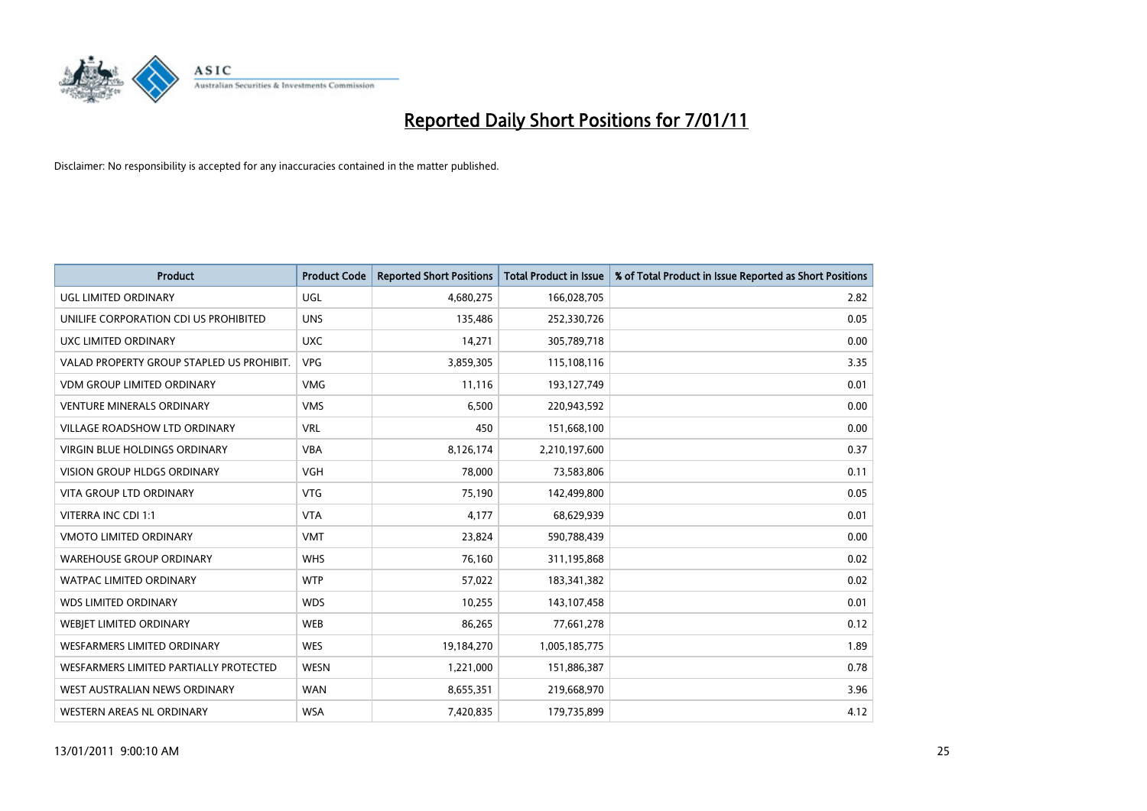

| <b>Product</b>                            | <b>Product Code</b> | <b>Reported Short Positions</b> | <b>Total Product in Issue</b> | % of Total Product in Issue Reported as Short Positions |
|-------------------------------------------|---------------------|---------------------------------|-------------------------------|---------------------------------------------------------|
| <b>UGL LIMITED ORDINARY</b>               | <b>UGL</b>          | 4,680,275                       | 166,028,705                   | 2.82                                                    |
| UNILIFE CORPORATION CDI US PROHIBITED     | <b>UNS</b>          | 135,486                         | 252,330,726                   | 0.05                                                    |
| UXC LIMITED ORDINARY                      | <b>UXC</b>          | 14,271                          | 305,789,718                   | 0.00                                                    |
| VALAD PROPERTY GROUP STAPLED US PROHIBIT. | <b>VPG</b>          | 3,859,305                       | 115,108,116                   | 3.35                                                    |
| <b>VDM GROUP LIMITED ORDINARY</b>         | <b>VMG</b>          | 11,116                          | 193,127,749                   | 0.01                                                    |
| <b>VENTURE MINERALS ORDINARY</b>          | <b>VMS</b>          | 6,500                           | 220,943,592                   | 0.00                                                    |
| VILLAGE ROADSHOW LTD ORDINARY             | <b>VRL</b>          | 450                             | 151,668,100                   | 0.00                                                    |
| <b>VIRGIN BLUE HOLDINGS ORDINARY</b>      | <b>VBA</b>          | 8,126,174                       | 2,210,197,600                 | 0.37                                                    |
| <b>VISION GROUP HLDGS ORDINARY</b>        | <b>VGH</b>          | 78,000                          | 73,583,806                    | 0.11                                                    |
| <b>VITA GROUP LTD ORDINARY</b>            | <b>VTG</b>          | 75,190                          | 142,499,800                   | 0.05                                                    |
| VITERRA INC CDI 1:1                       | <b>VTA</b>          | 4,177                           | 68,629,939                    | 0.01                                                    |
| VMOTO LIMITED ORDINARY                    | <b>VMT</b>          | 23,824                          | 590,788,439                   | 0.00                                                    |
| <b>WAREHOUSE GROUP ORDINARY</b>           | <b>WHS</b>          | 76,160                          | 311,195,868                   | 0.02                                                    |
| <b>WATPAC LIMITED ORDINARY</b>            | <b>WTP</b>          | 57,022                          | 183,341,382                   | 0.02                                                    |
| <b>WDS LIMITED ORDINARY</b>               | <b>WDS</b>          | 10,255                          | 143,107,458                   | 0.01                                                    |
| WEBJET LIMITED ORDINARY                   | <b>WEB</b>          | 86,265                          | 77,661,278                    | 0.12                                                    |
| WESFARMERS LIMITED ORDINARY               | <b>WES</b>          | 19,184,270                      | 1,005,185,775                 | 1.89                                                    |
| WESFARMERS LIMITED PARTIALLY PROTECTED    | <b>WESN</b>         | 1,221,000                       | 151,886,387                   | 0.78                                                    |
| WEST AUSTRALIAN NEWS ORDINARY             | <b>WAN</b>          | 8,655,351                       | 219,668,970                   | 3.96                                                    |
| WESTERN AREAS NL ORDINARY                 | <b>WSA</b>          | 7,420,835                       | 179,735,899                   | 4.12                                                    |